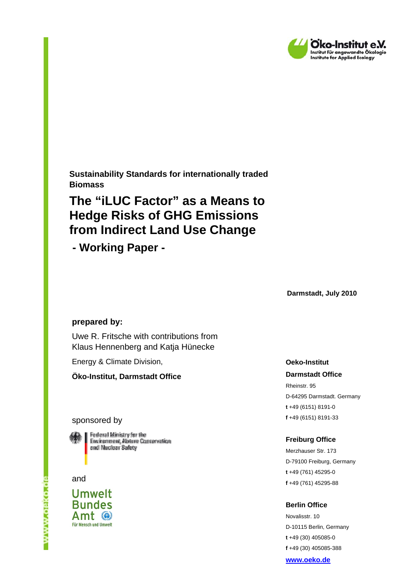

**Sustainability Standards for internationally traded Biomass** 

# **The "iLUC Factor" as a Means to Hedge Risks of GHG Emissions from Indirect Land Use Change**

 **- Working Paper -** 

**Darmstadt, July 2010** 

#### **prepared by:**

Uwe R. Fritsche with contributions from Klaus Hennenberg and Katja Hünecke

Energy & Climate Division,

**Öko-Institut, Darmstadt Office** 

#### sponsored by



Federal Ministry for the Environment, Nature Conservation and Nuclear Safety

and

**Umwelt Bundes** Amt @ Für Mensch und Umwelt **Oeko-Institut** 

#### **Darmstadt Office**

Rheinstr. 95 D-64295 Darmstadt. Germany **t** +49 (6151) 8191-0 **f** +49 (6151) 8191-33

#### **Freiburg Office**

Merzhauser Str. 173 D-79100 Freiburg, Germany **t** +49 (761) 45295-0 **f** +49 (761) 45295-88

#### **Berlin Office**

Novalisstr. 10 D-10115 Berlin, Germany **t** +49 (30) 405085-0 **f** +49 (30) 405085-388

**www.oeko.de**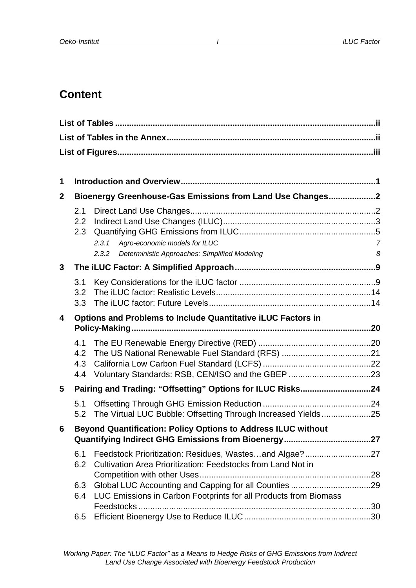# **Content**

| 1                       |                          |                                                                                                  |                     |
|-------------------------|--------------------------|--------------------------------------------------------------------------------------------------|---------------------|
| $\mathbf{2}$            |                          | Bioenergy Greenhouse-Gas Emissions from Land Use Changes2                                        |                     |
|                         | 2.1<br>2.2<br>2.3        | Agro-economic models for ILUC<br>2.3.1<br>Deterministic Approaches: Simplified Modeling<br>2.3.2 | $\overline{7}$<br>8 |
| 3                       |                          |                                                                                                  |                     |
|                         | 3.1<br>3.2<br>3.3        |                                                                                                  |                     |
| $\overline{\mathbf{4}}$ |                          | <b>Options and Problems to Include Quantitative iLUC Factors in</b>                              |                     |
|                         |                          |                                                                                                  |                     |
|                         | 4.1<br>4.2<br>4.3<br>4.4 |                                                                                                  |                     |
| 5                       |                          | Pairing and Trading: "Offsetting" Options for ILUC Risks24                                       |                     |
|                         | 5.1<br>5.2               | The Virtual LUC Bubble: Offsetting Through Increased Yields25                                    |                     |
| 6                       |                          | <b>Beyond Quantification: Policy Options to Address ILUC without</b>                             |                     |
|                         | 6.1<br>6.2               | Cultivation Area Prioritization: Feedstocks from Land Not in                                     |                     |
|                         | 6.3<br>6.4               | LUC Emissions in Carbon Footprints for all Products from Biomass<br>Feedstocks                   |                     |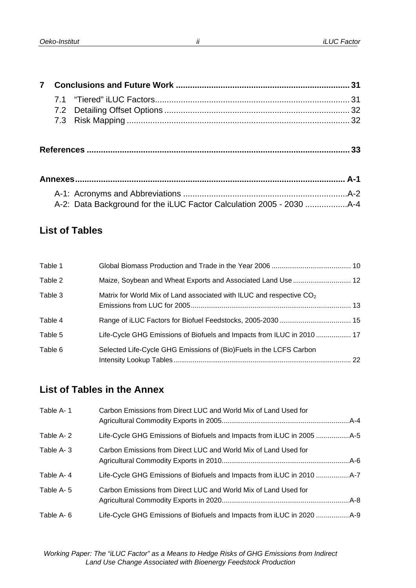# **List of Tables**

| Table 1 |                                                                                  |  |
|---------|----------------------------------------------------------------------------------|--|
| Table 2 |                                                                                  |  |
| Table 3 | Matrix for World Mix of Land associated with ILUC and respective CO <sub>2</sub> |  |
| Table 4 |                                                                                  |  |
| Table 5 | Life-Cycle GHG Emissions of Biofuels and Impacts from ILUC in 2010  17           |  |
| Table 6 | Selected Life-Cycle GHG Emissions of (Bio)Fuels in the LCFS Carbon               |  |

# **List of Tables in the Annex**

| Table A-1 | Carbon Emissions from Direct LUC and World Mix of Land Used for |  |
|-----------|-----------------------------------------------------------------|--|
| Table A-2 |                                                                 |  |
| Table A-3 | Carbon Emissions from Direct LUC and World Mix of Land Used for |  |
| Table A-4 |                                                                 |  |
| Table A-5 | Carbon Emissions from Direct LUC and World Mix of Land Used for |  |
| Table A-6 |                                                                 |  |

*ii*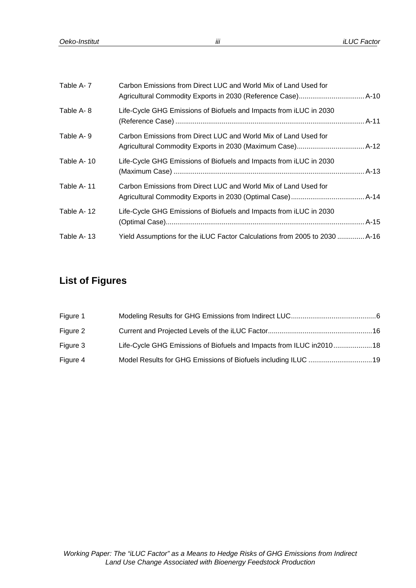| Table A-7  | Carbon Emissions from Direct LUC and World Mix of Land Used for            |  |
|------------|----------------------------------------------------------------------------|--|
| Table A-8  | Life-Cycle GHG Emissions of Biofuels and Impacts from iLUC in 2030         |  |
| Table A-9  | Carbon Emissions from Direct LUC and World Mix of Land Used for            |  |
| Table A-10 | Life-Cycle GHG Emissions of Biofuels and Impacts from iLUC in 2030         |  |
| Table A-11 | Carbon Emissions from Direct LUC and World Mix of Land Used for            |  |
| Table A-12 | Life-Cycle GHG Emissions of Biofuels and Impacts from iLUC in 2030         |  |
| Table A-13 | Yield Assumptions for the iLUC Factor Calculations from 2005 to 2030  A-16 |  |

# **List of Figures**

| Figure 1 |                                                                       |  |
|----------|-----------------------------------------------------------------------|--|
| Figure 2 |                                                                       |  |
| Figure 3 | Life-Cycle GHG Emissions of Biofuels and Impacts from ILUC in 2010 18 |  |
| Figure 4 |                                                                       |  |

*iii*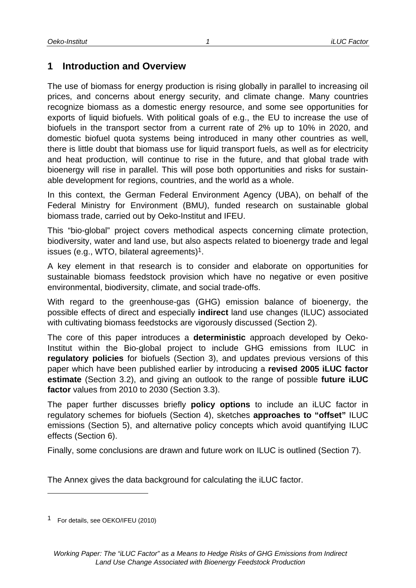## **1 Introduction and Overview**

The use of biomass for energy production is rising globally in parallel to increasing oil prices, and concerns about energy security, and climate change. Many countries recognize biomass as a domestic energy resource, and some see opportunities for exports of liquid biofuels. With political goals of e.g., the EU to increase the use of biofuels in the transport sector from a current rate of 2% up to 10% in 2020, and domestic biofuel quota systems being introduced in many other countries as well, there is little doubt that biomass use for liquid transport fuels, as well as for electricity and heat production, will continue to rise in the future, and that global trade with bioenergy will rise in parallel. This will pose both opportunities and risks for sustainable development for regions, countries, and the world as a whole.

In this context, the German Federal Environment Agency (UBA), on behalf of the Federal Ministry for Environment (BMU), funded research on sustainable global biomass trade, carried out by Oeko-Institut and IFEU.

This "bio-global" project covers methodical aspects concerning climate protection, biodiversity, water and land use, but also aspects related to bioenergy trade and legal issues (e.g., WTO, bilateral agreements)1.

A key element in that research is to consider and elaborate on opportunities for sustainable biomass feedstock provision which have no negative or even positive environmental, biodiversity, climate, and social trade-offs.

With regard to the greenhouse-gas (GHG) emission balance of bioenergy, the possible effects of direct and especially **indirect** land use changes (ILUC) associated with cultivating biomass feedstocks are vigorously discussed (Section 2).

The core of this paper introduces a **deterministic** approach developed by Oeko-Institut within the Bio-global project to include GHG emissions from ILUC in **regulatory policies** for biofuels (Section 3), and updates previous versions of this paper which have been published earlier by introducing a **revised 2005 iLUC factor estimate** (Section 3.2), and giving an outlook to the range of possible **future iLUC factor** values from 2010 to 2030 (Section 3.3).

The paper further discusses briefly **policy options** to include an iLUC factor in regulatory schemes for biofuels (Section 4), sketches **approaches to "offset"** ILUC emissions (Section 5), and alternative policy concepts which avoid quantifying ILUC effects (Section 6).

Finally, some conclusions are drawn and future work on ILUC is outlined (Section 7).

The Annex gives the data background for calculating the iLUC factor.

l

<sup>1</sup> For details, see OEKO/IFEU (2010)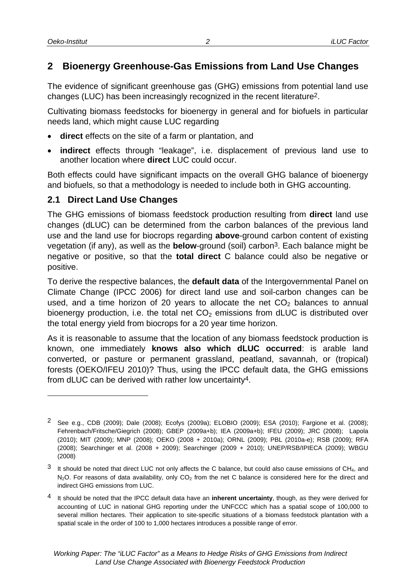## **2 Bioenergy Greenhouse-Gas Emissions from Land Use Changes**

The evidence of significant greenhouse gas (GHG) emissions from potential land use changes (LUC) has been increasingly recognized in the recent literature2.

Cultivating biomass feedstocks for bioenergy in general and for biofuels in particular needs land, which might cause LUC regarding

- **direct** effects on the site of a farm or plantation, and
- **indirect** effects through "leakage", i.e. displacement of previous land use to another location where **direct** LUC could occur.

Both effects could have significant impacts on the overall GHG balance of bioenergy and biofuels, so that a methodology is needed to include both in GHG accounting.

## **2.1 Direct Land Use Changes**

The GHG emissions of biomass feedstock production resulting from **direct** land use changes (dLUC) can be determined from the carbon balances of the previous land use and the land use for biocrops regarding **above**-ground carbon content of existing vegetation (if any), as well as the **below**-ground (soil) carbon3. Each balance might be negative or positive, so that the **total direct** C balance could also be negative or positive.

To derive the respective balances, the **default data** of the Intergovernmental Panel on Climate Change (IPCC 2006) for direct land use and soil-carbon changes can be used, and a time horizon of 20 years to allocate the net  $CO<sub>2</sub>$  balances to annual bioenergy production, i.e. the total net  $CO<sub>2</sub>$  emissions from dLUC is distributed over the total energy yield from biocrops for a 20 year time horizon.

As it is reasonable to assume that the location of any biomass feedstock production is known, one immediately **knows also which dLUC occurred**: is arable land converted, or pasture or permanent grassland, peatland, savannah, or (tropical) forests (OEKO/IFEU 2010)? Thus, using the IPCC default data, the GHG emissions from dLUC can be derived with rather low uncertainty4.

<sup>2</sup> See e.g., CDB (2009); Dale (2008); Ecofys (2009a); ELOBIO (2009); ESA (2010); Fargione et al. (2008); Fehrenbach/Fritsche/Giegrich (2008); GBEP (2009a+b); IEA (2009a+b); IFEU (2009); JRC (2008); Lapola (2010); MIT (2009); MNP (2008); OEKO (2008 + 2010a); ORNL (2009); PBL (2010a-e); RSB (2009); RFA (2008); Searchinger et al. (2008 + 2009); Searchinger (2009 + 2010); UNEP/RSB/IPIECA (2009); WBGU (2008)

 $3$  It should be noted that direct LUC not only affects the C balance, but could also cause emissions of CH<sub>4</sub>, and  $N_2O$ . For reasons of data availability, only  $CO<sub>2</sub>$  from the net C balance is considered here for the direct and indirect GHG emissions from LUC.

<sup>4</sup> It should be noted that the IPCC default data have an **inherent uncertainty**, though, as they were derived for accounting of LUC in national GHG reporting under the UNFCCC which has a spatial scope of 100,000 to several million hectares. Their application to site-specific situations of a biomass feedstock plantation with a spatial scale in the order of 100 to 1,000 hectares introduces a possible range of error.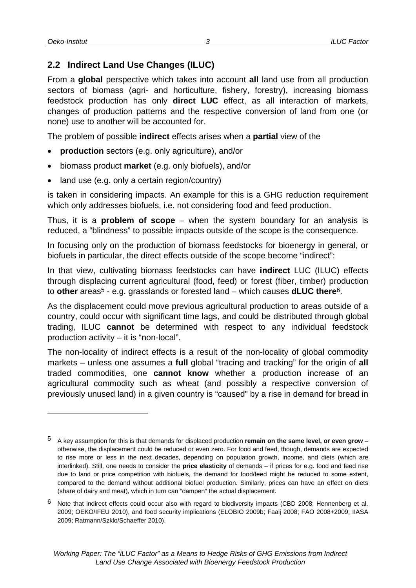#### **2.2 Indirect Land Use Changes (ILUC)**

From a **global** perspective which takes into account **all** land use from all production sectors of biomass (agri- and horticulture, fishery, forestry), increasing biomass feedstock production has only **direct LUC** effect, as all interaction of markets, changes of production patterns and the respective conversion of land from one (or none) use to another will be accounted for.

The problem of possible **indirect** effects arises when a **partial** view of the

- **production** sectors (e.g. only agriculture), and/or
- biomass product **market** (e.g. only biofuels), and/or
- land use (e.g. only a certain region/country)

is taken in considering impacts. An example for this is a GHG reduction requirement which only addresses biofuels, i.e. not considering food and feed production.

Thus, it is a **problem of scope** – when the system boundary for an analysis is reduced, a "blindness" to possible impacts outside of the scope is the consequence.

In focusing only on the production of biomass feedstocks for bioenergy in general, or biofuels in particular, the direct effects outside of the scope become "indirect":

In that view, cultivating biomass feedstocks can have **indirect** LUC (ILUC) effects through displacing current agricultural (food, feed) or forest (fiber, timber) production to **other** areas5 - e.g. grasslands or forested land – which causes **dLUC there**6.

As the displacement could move previous agricultural production to areas outside of a country, could occur with significant time lags, and could be distributed through global trading, ILUC **cannot** be determined with respect to any individual feedstock production activity – it is "non-local".

The non-locality of indirect effects is a result of the non-locality of global commodity markets – unless one assumes a **full** global "tracing and tracking" for the origin of **all** traded commodities, one **cannot know** whether a production increase of an agricultural commodity such as wheat (and possibly a respective conversion of previously unused land) in a given country is "caused" by a rise in demand for bread in

<sup>5</sup> A key assumption for this is that demands for displaced production **remain on the same level, or even grow** – otherwise, the displacement could be reduced or even zero. For food and feed, though, demands are expected to rise more or less in the next decades, depending on population growth, income, and diets (which are interlinked). Still, one needs to consider the **price elasticity** of demands – if prices for e.g. food and feed rise due to land or price competition with biofuels, the demand for food/feed might be reduced to some extent, compared to the demand without additional biofuel production. Similarly, prices can have an effect on diets (share of dairy and meat), which in turn can "dampen" the actual displacement.

<sup>6</sup> Note that indirect effects could occur also with regard to biodiversity impacts (CBD 2008; Hennenberg et al. 2009; OEKO/IFEU 2010), and food security implications (ELOBIO 2009b; Faaij 2008; FAO 2008+2009; IIASA 2009; Ratmann/Szklo/Schaeffer 2010).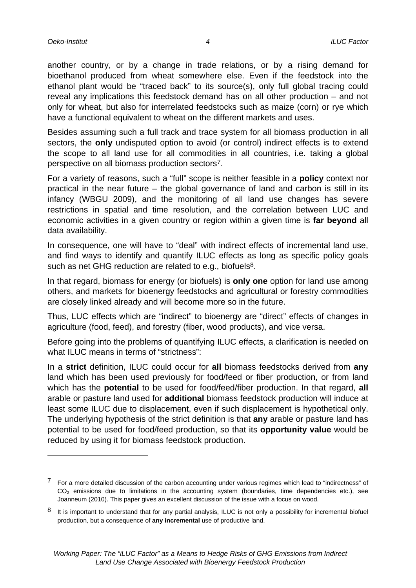another country, or by a change in trade relations, or by a rising demand for bioethanol produced from wheat somewhere else. Even if the feedstock into the ethanol plant would be "traced back" to its source(s), only full global tracing could reveal any implications this feedstock demand has on all other production – and not only for wheat, but also for interrelated feedstocks such as maize (corn) or rye which have a functional equivalent to wheat on the different markets and uses.

Besides assuming such a full track and trace system for all biomass production in all sectors, the **only** undisputed option to avoid (or control) indirect effects is to extend the scope to all land use for all commodities in all countries, i.e. taking a global perspective on all biomass production sectors7.

For a variety of reasons, such a "full" scope is neither feasible in a **policy** context nor practical in the near future – the global governance of land and carbon is still in its infancy (WBGU 2009), and the monitoring of all land use changes has severe restrictions in spatial and time resolution, and the correlation between LUC and economic activities in a given country or region within a given time is **far beyond** all data availability.

In consequence, one will have to "deal" with indirect effects of incremental land use, and find ways to identify and quantify ILUC effects as long as specific policy goals such as net GHG reduction are related to e.g., biofuels<sup>8</sup>.

In that regard, biomass for energy (or biofuels) is **only one** option for land use among others, and markets for bioenergy feedstocks and agricultural or forestry commodities are closely linked already and will become more so in the future.

Thus, LUC effects which are "indirect" to bioenergy are "direct" effects of changes in agriculture (food, feed), and forestry (fiber, wood products), and vice versa.

Before going into the problems of quantifying ILUC effects, a clarification is needed on what ILUC means in terms of "strictness":

In a **strict** definition, ILUC could occur for **all** biomass feedstocks derived from **any** land which has been used previously for food/feed or fiber production, or from land which has the **potential** to be used for food/feed/fiber production. In that regard, **all** arable or pasture land used for **additional** biomass feedstock production will induce at least some ILUC due to displacement, even if such displacement is hypothetical only. The underlying hypothesis of the strict definition is that **any** arable or pasture land has potential to be used for food/feed production, so that its **opportunity value** would be reduced by using it for biomass feedstock production.

*4*

<sup>7</sup> For a more detailed discussion of the carbon accounting under various regimes which lead to "indirectness" of  $CO<sub>2</sub>$  emissions due to limitations in the accounting system (boundaries, time dependencies etc.), see Joanneum (2010). This paper gives an excellent discussion of the issue with a focus on wood.

 $8$  It is important to understand that for any partial analysis, ILUC is not only a possibility for incremental biofuel production, but a consequence of **any incremental** use of productive land.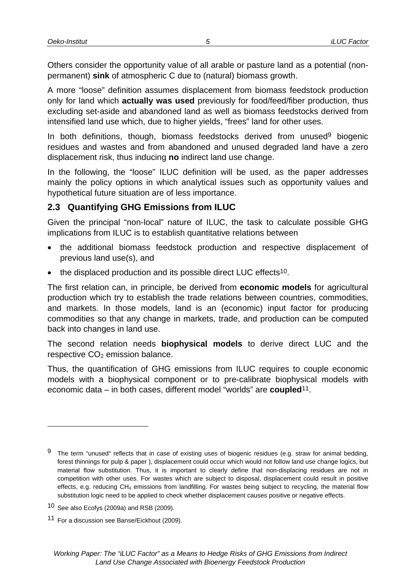Others consider the opportunity value of all arable or pasture land as a potential (nonpermanent) **sink** of atmospheric C due to (natural) biomass growth.

A more "loose" definition assumes displacement from biomass feedstock production only for land which **actually was used** previously for food/feed/fiber production, thus excluding set-aside and abandoned land as well as biomass feedstocks derived from intensified land use which, due to higher yields, "frees" land for other uses.

In both definitions, though, biomass feedstocks derived from unused<sup>9</sup> biogenic residues and wastes and from abandoned and unused degraded land have a zero displacement risk, thus inducing **no** indirect land use change.

In the following, the "loose" ILUC definition will be used, as the paper addresses mainly the policy options in which analytical issues such as opportunity values and hypothetical future situation are of less importance.

#### **2.3 Quantifying GHG Emissions from ILUC**

Given the principal "non-local" nature of ILUC, the task to calculate possible GHG implications from ILUC is to establish quantitative relations between

- the additional biomass feedstock production and respective displacement of previous land use(s), and
- the displaced production and its possible direct LUC effects<sup>10</sup>.

The first relation can, in principle, be derived from **economic models** for agricultural production which try to establish the trade relations between countries, commodities, and markets. In those models, land is an (economic) input factor for producing commodities so that any change in markets, trade, and production can be computed back into changes in land use.

The second relation needs **biophysical models** to derive direct LUC and the respective  $CO<sub>2</sub>$  emission balance.

Thus, the quantification of GHG emissions from ILUC requires to couple economic models with a biophysical component or to pre-calibrate biophysical models with economic data – in both cases, different model "worlds" are **coupled**11.

l

 $9$  The term "unused" reflects that in case of existing uses of biogenic residues (e.g. straw for animal bedding, forest thinnings for pulp & paper ), displacement could occur which would not follow land use change logics, but material flow substitution. Thus, it is important to clearly define that non-displacing residues are not in competition with other uses. For wastes which are subject to disposal, displacement could result in positive effects, e.g. reducing CH<sub>4</sub> emissions from landfilling. For wastes being subject to recycling, the material flow substitution logic need to be applied to check whether displacement causes positive or negative effects.

<sup>10</sup> See also Ecofys (2009a) and RSB (2009).

<sup>11</sup> For a discussion see Banse/Eickhout (2009).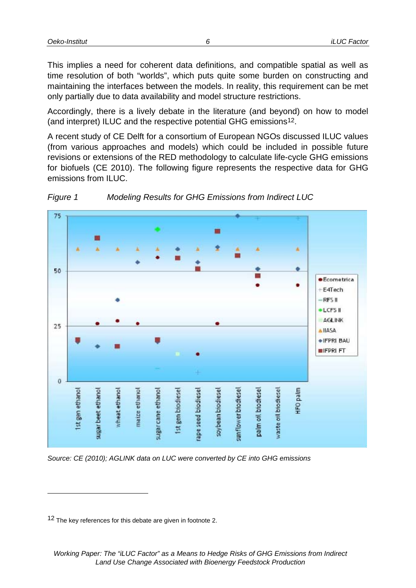This implies a need for coherent data definitions, and compatible spatial as well as time resolution of both "worlds", which puts quite some burden on constructing and maintaining the interfaces between the models. In reality, this requirement can be met only partially due to data availability and model structure restrictions.

Accordingly, there is a lively debate in the literature (and beyond) on how to model (and interpret) ILUC and the respective potential GHG emissions12.

A recent study of CE Delft for a consortium of European NGOs discussed ILUC values (from various approaches and models) which could be included in possible future revisions or extensions of the RED methodology to calculate life-cycle GHG emissions for biofuels (CE 2010). The following figure represents the respective data for GHG emissions from ILUC.





l

*Source: CE (2010); AGLINK data on LUC were converted by CE into GHG emissions* 

<sup>&</sup>lt;sup>12</sup> The key references for this debate are given in footnote 2.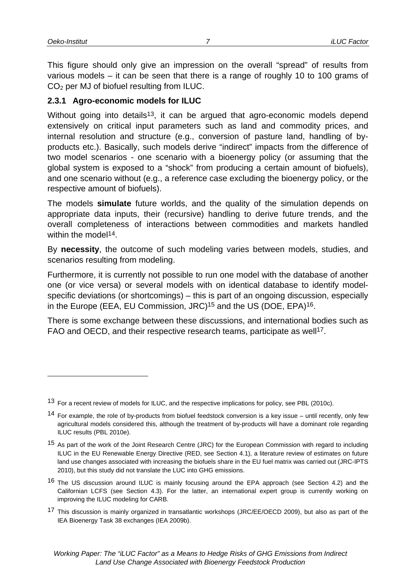This figure should only give an impression on the overall "spread" of results from various models – it can be seen that there is a range of roughly 10 to 100 grams of CO2 per MJ of biofuel resulting from ILUC.

#### **2.3.1 Agro-economic models for ILUC**

Without going into details<sup>13</sup>, it can be argued that agro-economic models depend extensively on critical input parameters such as land and commodity prices, and internal resolution and structure (e.g., conversion of pasture land, handling of byproducts etc.). Basically, such models derive "indirect" impacts from the difference of two model scenarios - one scenario with a bioenergy policy (or assuming that the global system is exposed to a "shock" from producing a certain amount of biofuels), and one scenario without (e.g., a reference case excluding the bioenergy policy, or the respective amount of biofuels).

The models **simulate** future worlds, and the quality of the simulation depends on appropriate data inputs, their (recursive) handling to derive future trends, and the overall completeness of interactions between commodities and markets handled within the model<sup>14</sup>.

By **necessity**, the outcome of such modeling varies between models, studies, and scenarios resulting from modeling.

Furthermore, it is currently not possible to run one model with the database of another one (or vice versa) or several models with on identical database to identify modelspecific deviations (or shortcomings) – this is part of an ongoing discussion, especially in the Europe (EEA, EU Commission, JRC)<sup>15</sup> and the US (DOE, EPA)<sup>16</sup>.

There is some exchange between these discussions, and international bodies such as FAO and OECD, and their respective research teams, participate as well<sup>17</sup>.

<sup>13</sup> For a recent review of models for ILUC, and the respective implications for policy, see PBL (2010c).

<sup>&</sup>lt;sup>14</sup> For example, the role of by-products from biofuel feedstock conversion is a key issue – until recently, only few agricultural models considered this, although the treatment of by-products will have a dominant role regarding ILUC results (PBL 2010e).

<sup>15</sup> As part of the work of the Joint Research Centre (JRC) for the European Commission with regard to including ILUC in the EU Renewable Energy Directive (RED, see Section 4.1), a literature review of estimates on future land use changes associated with increasing the biofuels share in the EU fuel matrix was carried out (JRC-IPTS 2010), but this study did not translate the LUC into GHG emissions.

<sup>&</sup>lt;sup>16</sup> The US discussion around ILUC is mainly focusing around the EPA approach (see Section 4.2) and the Californian LCFS (see Section 4.3). For the latter, an international expert group is currently working on improving the ILUC modeling for CARB.

<sup>&</sup>lt;sup>17</sup> This discussion is mainly organized in transatlantic workshops (JRC/EE/OECD 2009), but also as part of the IEA Bioenergy Task 38 exchanges (IEA 2009b).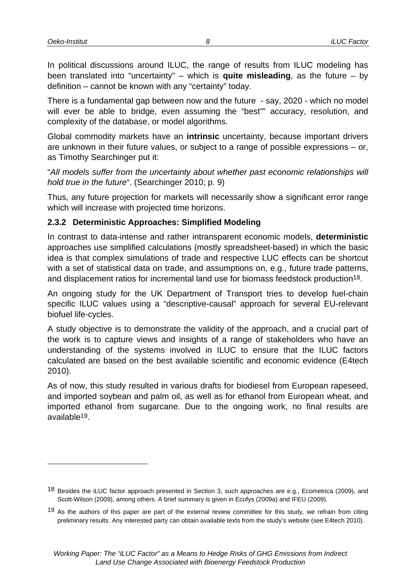In political discussions around ILUC, the range of results from ILUC modeling has been translated into "uncertainty" – which is **quite misleading**, as the future – by definition – cannot be known with any "certainty" today.

There is a fundamental gap between now and the future - say, 2020 - which no model will ever be able to bridge, even assuming the "best"" accuracy, resolution, and complexity of the database, or model algorithms.

Global commodity markets have an **intrinsic** uncertainty, because important drivers are unknown in their future values, or subject to a range of possible expressions – or, as Timothy Searchinger put it:

"*All models suffer from the uncertainty about whether past economic relationships will hold true in the future*". (Searchinger 2010; p. 9)

Thus, any future projection for markets will necessarily show a significant error range which will increase with projected time horizons.

#### **2.3.2 Deterministic Approaches: Simplified Modeling**

In contrast to data-intense and rather intransparent economic models, **deterministic** approaches use simplified calculations (mostly spreadsheet-based) in which the basic idea is that complex simulations of trade and respective LUC effects can be shortcut with a set of statistical data on trade, and assumptions on, e.g., future trade patterns, and displacement ratios for incremental land use for biomass feedstock production<sup>18</sup>.

An ongoing study for the UK Department of Transport tries to develop fuel-chain specific ILUC values using a "descriptive-causal" approach for several EU-relevant biofuel life-cycles.

A study objective is to demonstrate the validity of the approach, and a crucial part of the work is to capture views and insights of a range of stakeholders who have an understanding of the systems involved in ILUC to ensure that the ILUC factors calculated are based on the best available scientific and economic evidence (E4tech 2010).

As of now, this study resulted in various drafts for biodiesel from European rapeseed, and imported soybean and palm oil, as well as for ethanol from European wheat, and imported ethanol from sugarcane. Due to the ongoing work, no final results are available19.

<sup>18</sup> Besides the iLUC factor approach presented in Section 3, such approaches are e.g., Ecometrica (2009), and Scott-Wilson (2009), among others. A brief summary is given in Ecofys (2009a) and IFEU (2009).

<sup>&</sup>lt;sup>19</sup> As the authors of this paper are part of the external review committee for this study, we refrain from citing preliminary results. Any interested party can obtain available texts from the study's website (see E4tech 2010).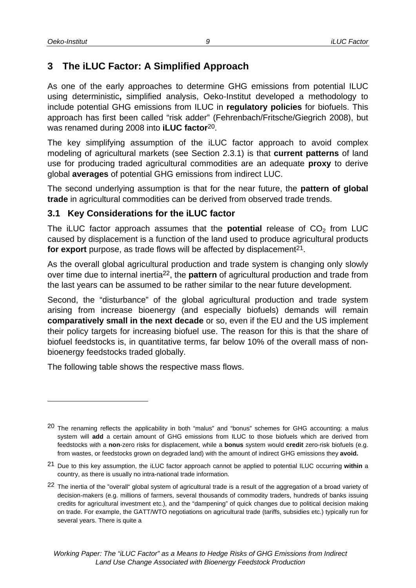## **3 The iLUC Factor: A Simplified Approach**

As one of the early approaches to determine GHG emissions from potential ILUC using deterministic**,** simplified analysis, Oeko-Institut developed a methodology to include potential GHG emissions from ILUC in **regulatory policies** for biofuels. This approach has first been called "risk adder" (Fehrenbach/Fritsche/Giegrich 2008), but was renamed during 2008 into **iLUC factor**20.

*9*

The key simplifying assumption of the iLUC factor approach to avoid complex modeling of agricultural markets (see Section 2.3.1) is that **current patterns** of land use for producing traded agricultural commodities are an adequate **proxy** to derive global **averages** of potential GHG emissions from indirect LUC.

The second underlying assumption is that for the near future, the **pattern of global trade** in agricultural commodities can be derived from observed trade trends.

#### **3.1 Key Considerations for the iLUC factor**

The iLUC factor approach assumes that the **potential** release of  $CO<sub>2</sub>$  from LUC caused by displacement is a function of the land used to produce agricultural products for export purpose, as trade flows will be affected by displacement<sup>21</sup>.

As the overall global agricultural production and trade system is changing only slowly over time due to internal inertia22, the **pattern** of agricultural production and trade from the last years can be assumed to be rather similar to the near future development.

Second, the "disturbance" of the global agricultural production and trade system arising from increase bioenergy (and especially biofuels) demands will remain **comparatively small in the next decade** or so, even if the EU and the US implement their policy targets for increasing biofuel use. The reason for this is that the share of biofuel feedstocks is, in quantitative terms, far below 10% of the overall mass of nonbioenergy feedstocks traded globally.

The following table shows the respective mass flows.

<sup>&</sup>lt;sup>20</sup> The renaming reflects the applicability in both "malus" and "bonus" schemes for GHG accounting: a malus system will **add** a certain amount of GHG emissions from ILUC to those biofuels which are derived from feedstocks with a **non**-zero risks for displacement, while a **bonus** system would **credit** zero-risk biofuels (e.g. from wastes, or feedstocks grown on degraded land) with the amount of indirect GHG emissions they **avoid.**

<sup>21</sup> Due to this key assumption, the iLUC factor approach cannot be applied to potential ILUC occurring **within** a country, as there is usually no intra-national trade information.

<sup>&</sup>lt;sup>22</sup> The inertia of the "overall" global system of agricultural trade is a result of the aggregation of a broad variety of decision-makers (e.g. millions of farmers, several thousands of commodity traders, hundreds of banks issuing credits for agricultural investment etc.), and the "dampening" of quick changes due to political decision making on trade. For example, the GATT/WTO negotiations on agricultural trade (tariffs, subsidies etc.) typically run for several years. There is quite a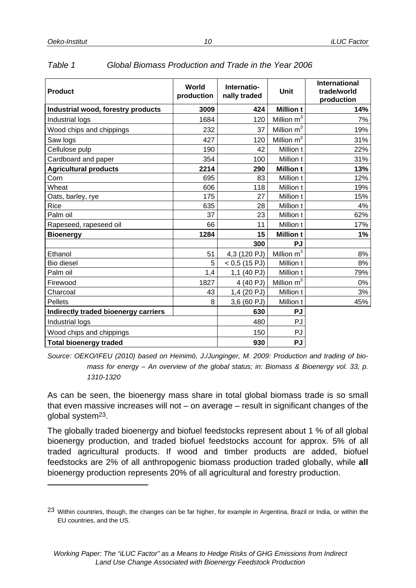| <b>Product</b>                       | World<br>production | Internatio-<br>nally traded | Unit                     | <b>International</b><br>trade/world<br>production |
|--------------------------------------|---------------------|-----------------------------|--------------------------|---------------------------------------------------|
| Industrial wood, forestry products   | 3009                | 424                         | <b>Million t</b>         | 14%                                               |
| Industrial logs                      | 1684                | 120                         | Million m <sup>3</sup>   | 7%                                                |
| Wood chips and chippings             | 232                 | 37                          | Million m <sup>3</sup>   | 19%                                               |
| Saw logs                             | 427                 | 120                         | Million m <sup>3</sup>   | 31%                                               |
| Cellulose pulp                       | 190                 | 42                          | Million t                | 22%                                               |
| Cardboard and paper                  | 354                 | 100                         | Million t                | 31%                                               |
| <b>Agricultural products</b>         | 2214                | 290                         | <b>Million t</b>         | 13%                                               |
| Corn                                 | 695                 | 83                          | Million t                | 12%                                               |
| Wheat                                | 606                 | 118                         | Million t                | 19%                                               |
| Oats, barley, rye                    | 175                 | 27                          | Million t                | 15%                                               |
| Rice                                 | 635                 | 28                          | Million t                | 4%                                                |
| Palm oil                             | 37                  | 23                          | Million t                | 62%                                               |
| Rapeseed, rapeseed oil               | 66                  | 11                          | Million t                | 17%                                               |
| <b>Bioenergy</b>                     | 1284                | 15                          | <b>Million t</b>         | 1%                                                |
|                                      |                     | 300                         | <b>PJ</b>                |                                                   |
| Ethanol                              | 51                  | 4,3 (120 PJ)                | $Million$ m <sup>3</sup> | 8%                                                |
| Bio diesel                           | 5                   | $< 0.5$ (15 PJ)             | Million t                | 8%                                                |
| Palm oil                             | 1,4                 | 1,1 (40 PJ)                 | Million t                | 79%                                               |
| Firewood                             | 1827                | 4 (40 PJ)                   | Million m <sup>3</sup>   | 0%                                                |
| Charcoal                             | 43                  | 1,4 (20 PJ)                 | Million t                | 3%                                                |
| <b>Pellets</b>                       | 8                   | 3,6 (60 PJ)                 | Million t                | 45%                                               |
| Indirectly traded bioenergy carriers |                     | 630                         | <b>PJ</b>                |                                                   |
| Industrial logs                      |                     | 480                         | PJ                       |                                                   |
| Wood chips and chippings             |                     | 150                         | PJ                       |                                                   |
| <b>Total bioenergy traded</b>        |                     | 930                         | <b>PJ</b>                |                                                   |

| Table 1<br>Global Biomass Production and Trade in the Year 2006 |  |
|-----------------------------------------------------------------|--|
|-----------------------------------------------------------------|--|

*Source: OEKO/IFEU (2010) based on Heinimö, J./Junginger, M. 2009: Production and trading of biomass for energy – An overview of the global status; in: Biomass & Bioenergy vol. 33, p. 1310-1320* 

As can be seen, the bioenergy mass share in total global biomass trade is so small that even massive increases will not – on average – result in significant changes of the global system23.

The globally traded bioenergy and biofuel feedstocks represent about 1 % of all global bioenergy production, and traded biofuel feedstocks account for approx. 5% of all traded agricultural products. If wood and timber products are added, biofuel feedstocks are 2% of all anthropogenic biomass production traded globally, while **all** bioenergy production represents 20% of all agricultural and forestry production.

<sup>23</sup> Within countries, though, the changes can be far higher, for example in Argentina, Brazil or India, or within the EU countries, and the US.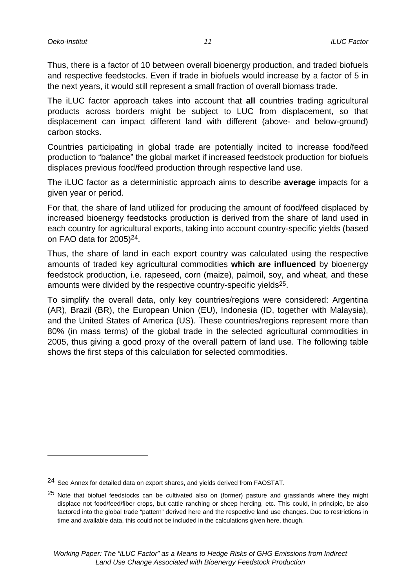Thus, there is a factor of 10 between overall bioenergy production, and traded biofuels and respective feedstocks. Even if trade in biofuels would increase by a factor of 5 in the next years, it would still represent a small fraction of overall biomass trade.

The iLUC factor approach takes into account that **all** countries trading agricultural products across borders might be subject to LUC from displacement, so that displacement can impact different land with different (above- and below-ground) carbon stocks.

Countries participating in global trade are potentially incited to increase food/feed production to "balance" the global market if increased feedstock production for biofuels displaces previous food/feed production through respective land use.

The iLUC factor as a deterministic approach aims to describe **average** impacts for a given year or period.

For that, the share of land utilized for producing the amount of food/feed displaced by increased bioenergy feedstocks production is derived from the share of land used in each country for agricultural exports, taking into account country-specific yields (based on FAO data for 2005)24.

Thus, the share of land in each export country was calculated using the respective amounts of traded key agricultural commodities **which are influenced** by bioenergy feedstock production, i.e. rapeseed, corn (maize), palmoil, soy, and wheat, and these amounts were divided by the respective country-specific yields25.

To simplify the overall data, only key countries/regions were considered: Argentina (AR), Brazil (BR), the European Union (EU), Indonesia (ID, together with Malaysia), and the United States of America (US). These countries/regions represent more than 80% (in mass terms) of the global trade in the selected agricultural commodities in 2005, thus giving a good proxy of the overall pattern of land use. The following table shows the first steps of this calculation for selected commodities.

<sup>24</sup> See Annex for detailed data on export shares, and yields derived from FAOSTAT.

<sup>&</sup>lt;sup>25</sup> Note that biofuel feedstocks can be cultivated also on (former) pasture and grasslands where they might displace not food/feed/fiber crops, but cattle ranching or sheep herding, etc. This could, in principle, be also factored into the global trade "pattern" derived here and the respective land use changes. Due to restrictions in time and available data, this could not be included in the calculations given here, though.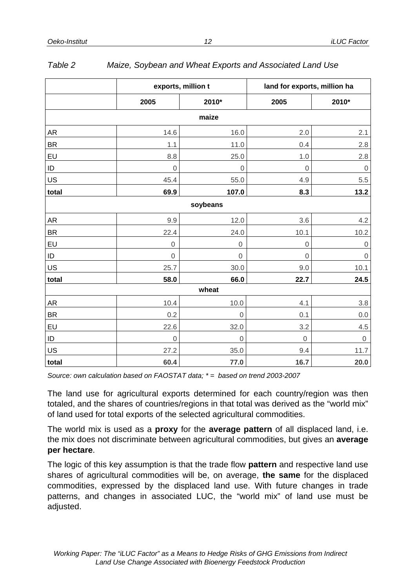|           | exports, million t |                  | land for exports, million ha |                     |  |
|-----------|--------------------|------------------|------------------------------|---------------------|--|
|           | 2005               | 2010*            | 2005                         | 2010*               |  |
|           |                    | maize            |                              |                     |  |
| <b>AR</b> | 14.6               | 16.0             | 2.0                          | 2.1                 |  |
| <b>BR</b> | 1.1                | 11.0             | 0.4                          | 2.8                 |  |
| EU        | 8.8                | 25.0             | 1.0                          | $2.8\,$             |  |
| ID        | $\mathbf 0$        | $\mathbf 0$      | $\mathbf 0$                  | $\mbox{O}$          |  |
| US        | 45.4               | 55.0             | 4.9                          | 5.5                 |  |
| total     | 69.9               | 107.0            | 8.3                          | 13.2                |  |
|           |                    | soybeans         |                              |                     |  |
| AR        | 9.9                | 12.0             | 3.6                          | 4.2                 |  |
| <b>BR</b> | 22.4               | 24.0             | 10.1                         | 10.2                |  |
| EU        | $\boldsymbol{0}$   | $\boldsymbol{0}$ | $\boldsymbol{0}$             | $\mathsf{O}\xspace$ |  |
| ID        | $\mathbf 0$        | $\mathbf 0$      | $\mathbf 0$                  | $\mathbf 0$         |  |
| US        | 25.7               | 30.0             | 9.0                          | 10.1                |  |
| total     | 58.0               | 66.0             | 22.7                         | 24.5                |  |
|           |                    | wheat            |                              |                     |  |
| <b>AR</b> | 10.4               | 10.0             | 4.1                          | $3.8\,$             |  |
| <b>BR</b> | 0.2                | $\mbox{O}$       | 0.1                          | $0.0\,$             |  |
| EU        | 22.6               | 32.0             | 3.2                          | 4.5                 |  |
| $\sf ID$  | $\mathbf 0$        | $\mathbf 0$      | $\mathsf 0$                  | $\boldsymbol{0}$    |  |
| US        | 27.2               | 35.0             | 9.4                          | 11.7                |  |
| total     | 60.4               | 77.0             | 16.7                         | 20.0                |  |

#### *Table 2 Maize, Soybean and Wheat Exports and Associated Land Use*

*Source: own calculation based on FAOSTAT data; \* = based on trend 2003-2007* 

The land use for agricultural exports determined for each country/region was then totaled, and the shares of countries/regions in that total was derived as the "world mix" of land used for total exports of the selected agricultural commodities.

The world mix is used as a **proxy** for the **average pattern** of all displaced land, i.e. the mix does not discriminate between agricultural commodities, but gives an **average per hectare**.

The logic of this key assumption is that the trade flow **pattern** and respective land use shares of agricultural commodities will be, on average, **the same** for the displaced commodities, expressed by the displaced land use. With future changes in trade patterns, and changes in associated LUC, the "world mix" of land use must be adjusted.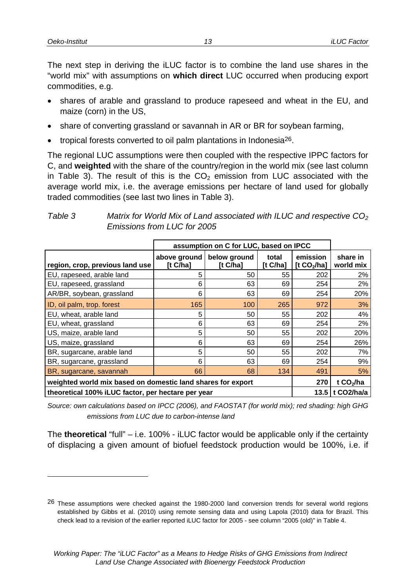The next step in deriving the iLUC factor is to combine the land use shares in the "world mix" with assumptions on **which direct** LUC occurred when producing export commodities, e.g.

- shares of arable and grassland to produce rapeseed and wheat in the EU, and maize (corn) in the US,
- share of converting grassland or savannah in AR or BR for soybean farming,
- tropical forests converted to oil palm plantations in Indonesia26.

The regional LUC assumptions were then coupled with the respective IPPC factors for C, and **weighted** with the share of the country/region in the world mix (see last column in Table 3). The result of this is the  $CO<sub>2</sub>$  emission from LUC associated with the average world mix, i.e. the average emissions per hectare of land used for globally traded commodities (see last two lines in Table 3).

|                                                             | assumption on C for LUC, based on IPCC |                          |                   |                           |                       |
|-------------------------------------------------------------|----------------------------------------|--------------------------|-------------------|---------------------------|-----------------------|
| region, crop, previous land use                             | above ground<br>[t C/ha]               | below ground<br>[t C/ha] | total<br>[t C/ha] | emission<br>[t $CO2/ha$ ] | share in<br>world mix |
| EU, rapeseed, arable land                                   | 5                                      | 50                       | 55                | 202                       | 2%                    |
| EU, rapeseed, grassland                                     | 6                                      | 63                       | 69                | 254                       | 2%                    |
| AR/BR, soybean, grassland                                   | 6                                      | 63                       | 69                | 254                       | 20%                   |
| ID, oil palm, trop. forest                                  | 165                                    | 100                      | 265               | 972                       | 3%                    |
| EU, wheat, arable land                                      | 5                                      | 50                       | 55                | 202                       | 4%                    |
| EU, wheat, grassland                                        | 6                                      | 63                       | 69                | 254                       | 2%                    |
| US, maize, arable land                                      | 5                                      | 50                       | 55                | 202                       | 20%                   |
| US, maize, grassland                                        | 6                                      | 63                       | 69                | 254                       | 26%                   |
| BR, sugarcane, arable land                                  | 5                                      | 50                       | 55                | 202                       | 7%                    |
| BR, sugarcane, grassland                                    | 6                                      | 63                       | 69                | 254                       | 9%                    |
| BR, sugarcane, savannah                                     | 66                                     | 68                       | 134               | 491                       | 5%                    |
| weighted world mix based on domestic land shares for export |                                        |                          |                   | 270                       | t $CO2/ha$            |
| theoretical 100% iLUC factor, per hectare per year          |                                        |                          |                   |                           | t CO2/ha/a<br>13.5    |

*Table 3 Matrix for World Mix of Land associated with ILUC and respective CO2 Emissions from LUC for 2005* 

*Source: own calculations based on IPCC (2006), and FAOSTAT (for world mix); red shading: high GHG emissions from LUC due to carbon-intense land* 

The **theoretical** "full" – i.e. 100% - iLUC factor would be applicable only if the certainty of displacing a given amount of biofuel feedstock production would be 100%, i.e. if

<sup>26</sup> These assumptions were checked against the 1980-2000 land conversion trends for several world regions established by Gibbs et al. (2010) using remote sensing data and using Lapola (2010) data for Brazil. This check lead to a revision of the earlier reported iLUC factor for 2005 - see column "2005 (old)" in Table 4.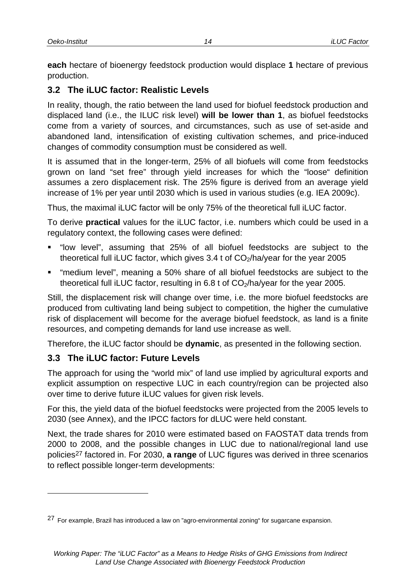**each** hectare of bioenergy feedstock production would displace **1** hectare of previous production.

## **3.2 The iLUC factor: Realistic Levels**

In reality, though, the ratio between the land used for biofuel feedstock production and displaced land (i.e., the ILUC risk level) **will be lower than 1**, as biofuel feedstocks come from a variety of sources, and circumstances, such as use of set-aside and abandoned land, intensification of existing cultivation schemes, and price-induced changes of commodity consumption must be considered as well.

It is assumed that in the longer-term, 25% of all biofuels will come from feedstocks grown on land "set free" through yield increases for which the "loose" definition assumes a zero displacement risk. The 25% figure is derived from an average yield increase of 1% per year until 2030 which is used in various studies (e.g. IEA 2009c).

Thus, the maximal iLUC factor will be only 75% of the theoretical full iLUC factor.

To derive **practical** values for the iLUC factor, i.e. numbers which could be used in a regulatory context, the following cases were defined:

- "low level", assuming that 25% of all biofuel feedstocks are subject to the theoretical full iLUC factor, which gives  $3.4$  t of  $CO<sub>2</sub>/ha/year$  for the year 2005
- "medium level", meaning a 50% share of all biofuel feedstocks are subject to the theoretical full iLUC factor, resulting in 6.8 t of  $CO<sub>2</sub>/ha/year$  for the year 2005.

Still, the displacement risk will change over time, i.e. the more biofuel feedstocks are produced from cultivating land being subject to competition, the higher the cumulative risk of displacement will become for the average biofuel feedstock, as land is a finite resources, and competing demands for land use increase as well.

Therefore, the iLUC factor should be **dynamic**, as presented in the following section.

# **3.3 The iLUC factor: Future Levels**

l

The approach for using the "world mix" of land use implied by agricultural exports and explicit assumption on respective LUC in each country/region can be projected also over time to derive future iLUC values for given risk levels.

For this, the yield data of the biofuel feedstocks were projected from the 2005 levels to 2030 (see Annex), and the IPCC factors for dLUC were held constant.

Next, the trade shares for 2010 were estimated based on FAOSTAT data trends from 2000 to 2008, and the possible changes in LUC due to national/regional land use policies27 factored in. For 2030, **a range** of LUC figures was derived in three scenarios to reflect possible longer-term developments:

<sup>27</sup> For example, Brazil has introduced a law on "agro-environmental zoning" for sugarcane expansion.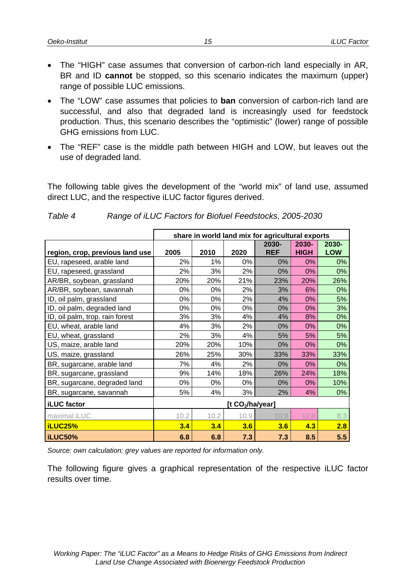- The "HIGH" case assumes that conversion of carbon-rich land especially in AR, BR and ID **cannot** be stopped, so this scenario indicates the maximum (upper) range of possible LUC emissions.
- The "LOW" case assumes that policies to **ban** conversion of carbon-rich land are successful, and also that degraded land is increasingly used for feedstock production. Thus, this scenario describes the "optimistic" (lower) range of possible GHG emissions from LUC.
- The "REF" case is the middle path between HIGH and LOW, but leaves out the use of degraded land.

The following table gives the development of the "world mix" of land use, assumed direct LUC, and the respective iLUC factor figures derived.

|                                 |                              | share in world land mix for agricultural exports |      |                     |                      |                     |  |  |
|---------------------------------|------------------------------|--------------------------------------------------|------|---------------------|----------------------|---------------------|--|--|
| region, crop, previous land use | 2005                         | 2010                                             | 2020 | 2030-<br><b>REF</b> | 2030-<br><b>HIGH</b> | 2030-<br><b>LOW</b> |  |  |
| EU, rapeseed, arable land       | 2%                           | 1%                                               | 0%   | 0%                  | 0%                   | 0%                  |  |  |
| EU, rapeseed, grassland         | 2%                           | 3%                                               | 2%   | 0%                  | 0%                   | 0%                  |  |  |
| AR/BR, soybean, grassland       | 20%                          | 20%                                              | 21%  | 23%                 | 20%                  | 26%                 |  |  |
| AR/BR, soybean, savannah        | 0%                           | 0%                                               | 2%   | 3%                  | 6%                   | 0%                  |  |  |
| ID, oil palm, grassland         | 0%                           | 0%                                               | 2%   | 4%                  | 0%                   | 5%                  |  |  |
| ID, oil palm, degraded land     | 0%                           | 0%                                               | 0%   | 0%                  | 0%                   | 3%                  |  |  |
| ID, oil palm, trop. rain forest | 3%                           | 3%                                               | 4%   | 4%                  | 8%                   | 0%                  |  |  |
| EU, wheat, arable land          | 4%                           | 3%                                               | 2%   | 0%                  | 0%                   | 0%                  |  |  |
| EU, wheat, grassland            | 2%                           | 3%                                               | 4%   | 5%                  | 5%                   | 5%                  |  |  |
| US, maize, arable land          | 20%                          | 20%                                              | 10%  | $0\%$               | 0%                   | 0%                  |  |  |
| US, maize, grassland            | 26%                          | 25%                                              | 30%  | 33%                 | 33%                  | 33%                 |  |  |
| BR, sugarcane, arable land      | 7%                           | 4%                                               | 2%   | 0%                  | 0%                   | 0%                  |  |  |
| BR, sugarcane, grassland        | 9%                           | 14%                                              | 18%  | 26%                 | 24%                  | 18%                 |  |  |
| BR, sugarcane, degraded land    | 0%                           | 0%                                               | 0%   | 0%                  | 0%                   | 10%                 |  |  |
| BR, sugarcane, savannah         | 5%                           | 4%                                               | 3%   | 2%                  | 4%                   | 0%                  |  |  |
| <b>iLUC</b> factor              | [t CO <sub>2</sub> /ha/year] |                                                  |      |                     |                      |                     |  |  |
| maximal iLUC                    | 10.2                         | 10.2                                             | 10.9 | 10.9                | 12.8                 | 8.3                 |  |  |
| <b>iLUC25%</b>                  | 3.4                          | 3.4                                              | 3.6  | 3.6                 | 4.3                  | 2.8                 |  |  |
| iLUC50%                         | 6.8                          | 6.8                                              | 7.3  | 7.3                 | 8.5                  | 5.5                 |  |  |

#### *Table 4 Range of iLUC Factors for Biofuel Feedstocks, 2005-2030*

*Source: own calculation; grey values are reported for information only.* 

The following figure gives a graphical representation of the respective iLUC factor results over time.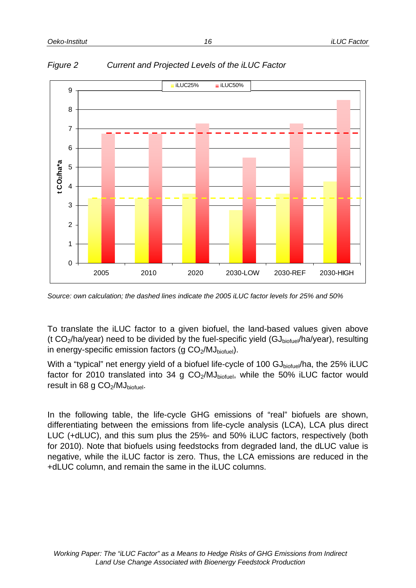

*Figure 2 Current and Projected Levels of the iLUC Factor* 

*Source: own calculation; the dashed lines indicate the 2005 iLUC factor levels for 25% and 50%* 

To translate the iLUC factor to a given biofuel, the land-based values given above (t CO<sub>2</sub>/ha/year) need to be divided by the fuel-specific yield (GJ<sub>biofuel</sub>/ha/year), resulting in energy-specific emission factors (g  $CO<sub>2</sub>/MJ<sub>biotuel</sub>$ ).

With a "typical" net energy yield of a biofuel life-cycle of 100  $GJ<sub>biotuel</sub>/ha$ , the 25% iLUC factor for 2010 translated into 34 g  $CO<sub>2</sub>/MJ<sub>biofuel</sub>$ , while the 50% iLUC factor would result in 68 g  $CO<sub>2</sub>/MJ<sub>biofuel</sub>$ .

In the following table, the life-cycle GHG emissions of "real" biofuels are shown, differentiating between the emissions from life-cycle analysis (LCA), LCA plus direct LUC (+dLUC), and this sum plus the 25%- and 50% iLUC factors, respectively (both for 2010). Note that biofuels using feedstocks from degraded land, the dLUC value is negative, while the iLUC factor is zero. Thus, the LCA emissions are reduced in the +dLUC column, and remain the same in the iLUC columns.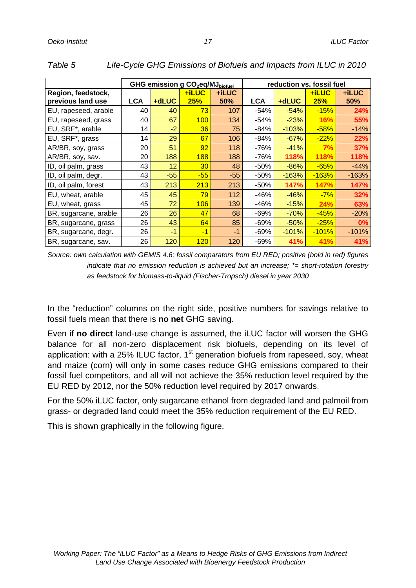|                       |            | GHG emission g CO <sub>2</sub> eq/MJ <sub>biofuel</sub> |       |       |            | reduction vs. fossil fuel |         |         |  |
|-----------------------|------------|---------------------------------------------------------|-------|-------|------------|---------------------------|---------|---------|--|
| Region, feedstock,    |            |                                                         | +iLUC | +iLUC |            |                           | +iLUC   | +iLUC   |  |
| previous land use     | <b>LCA</b> | +dLUC                                                   | 25%   | 50%   | <b>LCA</b> | +dLUC                     | 25%     | 50%     |  |
| EU, rapeseed, arable  | 40         | 40                                                      | 73    | 107   | $-54%$     | $-54%$                    | $-15%$  | 24%     |  |
| EU, rapeseed, grass   | 40         | 67                                                      | 100   | 134   | $-54%$     | $-23%$                    | 16%     | 55%     |  |
| EU, SRF*, arable      | 14         | $-2$                                                    | 36    | 75    | $-84%$     | $-103%$                   | $-58%$  | $-14%$  |  |
| EU, SRF*, grass       | 14         | 29                                                      | 67    | 106   | $-84%$     | $-67%$                    | $-22%$  | 22%     |  |
| AR/BR, soy, grass     | 20         | 51                                                      | 92    | 118   | $-76%$     | $-41%$                    | 7%      | 37%     |  |
| AR/BR, soy, sav.      | 20         | 188                                                     | 188   | 188   | $-76%$     | 118%                      | 118%    | 118%    |  |
| ID, oil palm, grass   | 43         | 12                                                      | 30    | 48    | -50%       | $-86%$                    | $-65%$  | $-44%$  |  |
| ID, oil palm, degr.   | 43         | $-55$                                                   | $-55$ | $-55$ | -50%       | $-163%$                   | $-163%$ | -163%   |  |
| ID, oil palm, forest  | 43         | 213                                                     | 213   | 213   | $-50%$     | 147%                      | 147%    | 147%    |  |
| EU, wheat, arable     | 45         | 45                                                      | 79    | 112   | -46%       | $-46%$                    | $-7%$   | 32%     |  |
| EU, wheat, grass      | 45         | 72                                                      | 106   | 139   | $-46%$     | $-15%$                    | 24%     | 63%     |  |
| BR, sugarcane, arable | 26         | 26                                                      | 47    | 68    | $-69%$     | $-70%$                    | $-45%$  | $-20%$  |  |
| BR, sugarcane, grass  | 26         | 43                                                      | 64    | 85    | $-69%$     | $-50%$                    | $-25%$  | 0%      |  |
| BR, sugarcane, degr.  | 26         | $-1$                                                    | $-1$  | -1    | $-69%$     | $-101%$                   | $-101%$ | $-101%$ |  |
| BR, sugarcane, sav.   | 26         | 120                                                     | 120   | 120   | $-69%$     | <b>41%</b>                | 41%     | 41%     |  |

#### *Table 5 Life-Cycle GHG Emissions of Biofuels and Impacts from ILUC in 2010*

*Source: own calculation with GEMIS 4.6; fossil comparators from EU RED; positive (bold in red) figures indicate that no emission reduction is achieved but an increase; \*= short-rotation forestry as feedstock for biomass-to-liquid (Fischer-Tropsch) diesel in year 2030* 

In the "reduction" columns on the right side, positive numbers for savings relative to fossil fuels mean that there is **no net** GHG saving.

Even if **no direct** land-use change is assumed, the iLUC factor will worsen the GHG balance for all non-zero displacement risk biofuels, depending on its level of application: with a 25% ILUC factor,  $1<sup>st</sup>$  generation biofuels from rapeseed, soy, wheat and maize (corn) will only in some cases reduce GHG emissions compared to their fossil fuel competitors, and all will not achieve the 35% reduction level required by the EU RED by 2012, nor the 50% reduction level required by 2017 onwards.

For the 50% iLUC factor, only sugarcane ethanol from degraded land and palmoil from grass- or degraded land could meet the 35% reduction requirement of the EU RED.

This is shown graphically in the following figure.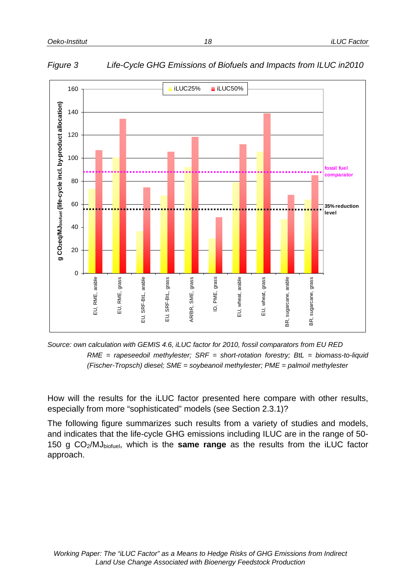$\Omega$ 

EU, RME, arable

 $\vec{p}$ 

RME, arable

EU, RME, grass

RME,

EJ,

grass

EU, SRF-BtL, arable

 $\vec{p}$ 

SRF-BtL, arable

EU, SRF-BtL, grass

SRF-BtL,

 $\overline{a}$ 

grass

AR/BR, SME, grass

SME,

AR/BR,

grass

20

40

60

80

**g CO2eq/MJbiofuel (life-cycle incl. by-product allocation)**

g CO2eq/MJbioruel (life-cycle incl. by-product allocation)

100

120

140

160







ID, PME, grass

PME,

 $\mathsf{D}$ 

grass

EU, wheat, arable

EU, wheat, arable

EU, wheat, grass

wheat,

 $\overline{m}$ 

grass

BR, sugarcane, arable

эŔ,

sugarcane, arable

BR, sugarcane, grass

BR, sugarcane, grass

How will the results for the iLUC factor presented here compare with other results, especially from more "sophisticated" models (see Section 2.3.1)?

The following figure summarizes such results from a variety of studies and models, and indicates that the life-cycle GHG emissions including ILUC are in the range of 50- 150 g CO2/MJbiofuel, which is the **same range** as the results from the iLUC factor approach.

**fossil fuel comparator**

**35% reduction level**

*18*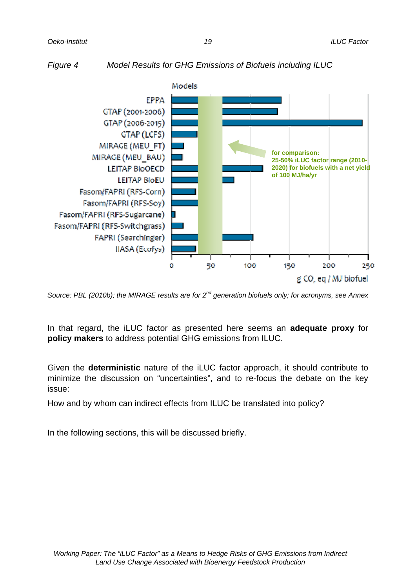

*Figure 4 Model Results for GHG Emissions of Biofuels including ILUC* 

*Source: PBL (2010b); the MIRAGE results are for 2nd generation biofuels only; for acronyms, see Annex* 

In that regard, the iLUC factor as presented here seems an **adequate proxy** for **policy makers** to address potential GHG emissions from ILUC.

Given the **deterministic** nature of the iLUC factor approach, it should contribute to minimize the discussion on "uncertainties", and to re-focus the debate on the key issue:

How and by whom can indirect effects from ILUC be translated into policy?

In the following sections, this will be discussed briefly.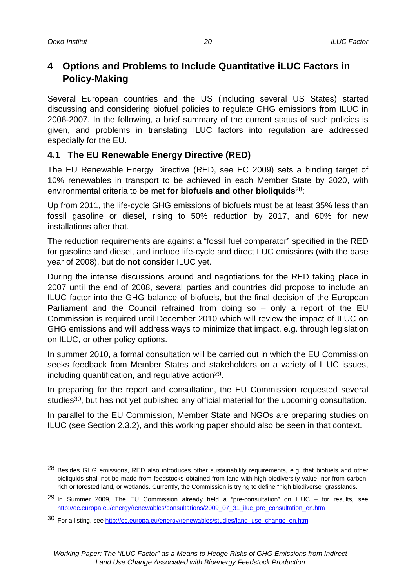# **4 Options and Problems to Include Quantitative iLUC Factors in Policy-Making**

Several European countries and the US (including several US States) started discussing and considering biofuel policies to regulate GHG emissions from ILUC in 2006-2007. In the following, a brief summary of the current status of such policies is given, and problems in translating ILUC factors into regulation are addressed especially for the EU.

## **4.1 The EU Renewable Energy Directive (RED)**

The EU Renewable Energy Directive (RED, see EC 2009) sets a binding target of 10% renewables in transport to be achieved in each Member State by 2020, with environmental criteria to be met **for biofuels and other bioliquids**28:

Up from 2011, the life-cycle GHG emissions of biofuels must be at least 35% less than fossil gasoline or diesel, rising to 50% reduction by 2017, and 60% for new installations after that.

The reduction requirements are against a "fossil fuel comparator" specified in the RED for gasoline and diesel, and include life-cycle and direct LUC emissions (with the base year of 2008), but do **not** consider ILUC yet.

During the intense discussions around and negotiations for the RED taking place in 2007 until the end of 2008, several parties and countries did propose to include an ILUC factor into the GHG balance of biofuels, but the final decision of the European Parliament and the Council refrained from doing so – only a report of the EU Commission is required until December 2010 which will review the impact of ILUC on GHG emissions and will address ways to minimize that impact, e.g. through legislation on ILUC, or other policy options.

In summer 2010, a formal consultation will be carried out in which the EU Commission seeks feedback from Member States and stakeholders on a variety of ILUC issues, including quantification, and regulative action29.

In preparing for the report and consultation, the EU Commission requested several studies<sup>30</sup>, but has not yet published any official material for the upcoming consultation.

In parallel to the EU Commission, Member State and NGOs are preparing studies on ILUC (see Section 2.3.2), and this working paper should also be seen in that context.

<sup>28</sup> Besides GHG emissions, RED also introduces other sustainability requirements, e.g. that biofuels and other bioliquids shall not be made from feedstocks obtained from land with high biodiversity value, nor from carbonrich or forested land, or wetlands. Currently, the Commission is trying to define "high biodiverse" grasslands.

 $29$  In Summer 2009, The EU Commission already held a "pre-consultation" on ILUC – for results, see http://ec.europa.eu/energy/renewables/consultations/2009\_07\_31\_iluc\_pre\_consultation\_en.htm

<sup>30</sup> For a listing, see http://ec.europa.eu/energy/renewables/studies/land\_use\_change\_en.htm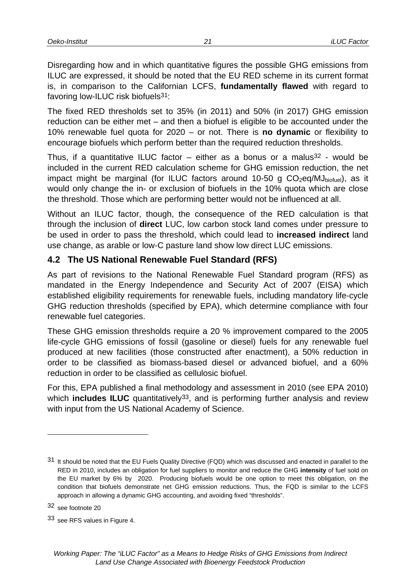Disregarding how and in which quantitative figures the possible GHG emissions from ILUC are expressed, it should be noted that the EU RED scheme in its current format is, in comparison to the Californian LCFS, **fundamentally flawed** with regard to favoring low-ILUC risk biofuels31:

The fixed RED thresholds set to 35% (in 2011) and 50% (in 2017) GHG emission reduction can be either met – and then a biofuel is eligible to be accounted under the 10% renewable fuel quota for 2020 – or not. There is **no dynamic** or flexibility to encourage biofuels which perform better than the required reduction thresholds.

Thus, if a quantitative ILUC factor – either as a bonus or a malus<sup>32</sup> - would be included in the current RED calculation scheme for GHG emission reduction, the net impact might be marginal (for ILUC factors around 10-50 g  $CO<sub>2</sub>eq/MJ<sub>biotuel</sub>$ ), as it would only change the in- or exclusion of biofuels in the 10% quota which are close the threshold. Those which are performing better would not be influenced at all.

Without an ILUC factor, though, the consequence of the RED calculation is that through the inclusion of **direct** LUC, low carbon stock land comes under pressure to be used in order to pass the threshold, which could lead to **increased indirect** land use change, as arable or low-C pasture land show low direct LUC emissions.

#### **4.2 The US National Renewable Fuel Standard (RFS)**

As part of revisions to the National Renewable Fuel Standard program (RFS) as mandated in the Energy Independence and Security Act of 2007 (EISA) which established eligibility requirements for renewable fuels, including mandatory life-cycle GHG reduction thresholds (specified by EPA), which determine compliance with four renewable fuel categories.

These GHG emission thresholds require a 20 % improvement compared to the 2005 life-cycle GHG emissions of fossil (gasoline or diesel) fuels for any renewable fuel produced at new facilities (those constructed after enactment), a 50% reduction in order to be classified as biomass-based diesel or advanced biofuel, and a 60% reduction in order to be classified as cellulosic biofuel.

For this, EPA published a final methodology and assessment in 2010 (see EPA 2010) which **includes ILUC** quantitatively<sup>33</sup>, and is performing further analysis and review with input from the US National Academy of Science.

l

<sup>31</sup> It should be noted that the EU Fuels Quality Directive (FQD) which was discussed and enacted in parallel to the RED in 2010, includes an obligation for fuel suppliers to monitor and reduce the GHG **intensity** of fuel sold on the EU market by 6% by 2020. Producing biofuels would be one option to meet this obligation, on the condition that biofuels demonstrate net GHG emission reductions. Thus, the FQD is similar to the LCFS approach in allowing a dynamic GHG accounting, and avoiding fixed "thresholds".

<sup>32</sup> see footnote 20

<sup>33</sup> see RFS values in Figure 4.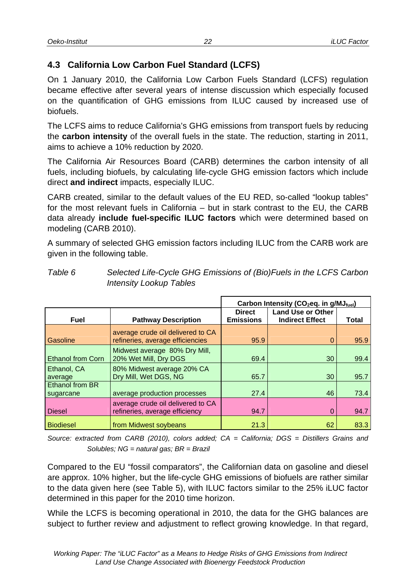## **4.3 California Low Carbon Fuel Standard (LCFS)**

On 1 January 2010, the California Low Carbon Fuels Standard (LCFS) regulation became effective after several years of intense discussion which especially focused on the quantification of GHG emissions from ILUC caused by increased use of biofuels.

The LCFS aims to reduce California's GHG emissions from transport fuels by reducing the **carbon intensity** of the overall fuels in the state. The reduction, starting in 2011, aims to achieve a 10% reduction by 2020.

The California Air Resources Board (CARB) determines the carbon intensity of all fuels, including biofuels, by calculating life-cycle GHG emission factors which include direct **and indirect** impacts, especially ILUC.

CARB created, similar to the default values of the EU RED, so-called "lookup tables" for the most relevant fuels in California – but in stark contrast to the EU, the CARB data already **include fuel-specific ILUC factors** which were determined based on modeling (CARB 2010).

A summary of selected GHG emission factors including ILUC from the CARB work are given in the following table.

|                                     |                                                                       | Carbon Intensity (CO <sub>2</sub> eq. in g/MJ <sub>fuel</sub> ) |                                                    |       |  |
|-------------------------------------|-----------------------------------------------------------------------|-----------------------------------------------------------------|----------------------------------------------------|-------|--|
| <b>Fuel</b>                         | <b>Pathway Description</b>                                            | <b>Direct</b><br><b>Emissions</b>                               | <b>Land Use or Other</b><br><b>Indirect Effect</b> | Total |  |
| Gasoline                            | average crude oil delivered to CA<br>refineries, average efficiencies | 95.9                                                            | $\Omega$                                           | 95.9  |  |
| <b>Ethanol from Corn</b>            | Midwest average 80% Dry Mill,<br>20% Wet Mill, Dry DGS                | 69.4                                                            | 30                                                 | 99.4  |  |
| Ethanol, CA<br>average              | 80% Midwest average 20% CA<br>Dry Mill, Wet DGS, NG                   | 65.7                                                            | 30                                                 | 95.7  |  |
| <b>Ethanol from BR</b><br>sugarcane | average production processes                                          | 27.4                                                            | 46                                                 | 73.4  |  |
| <b>Diesel</b>                       | average crude oil delivered to CA<br>refineries, average efficiency   | 94.7                                                            | $\Omega$                                           | 94.7  |  |
| <b>Biodiesel</b>                    | from Midwest soybeans                                                 | 21.3                                                            | 62                                                 | 83.3  |  |

*Table 6 Selected Life-Cycle GHG Emissions of (Bio)Fuels in the LCFS Carbon Intensity Lookup Tables* 

*Source: extracted from CARB (2010), colors added; CA = California; DGS = Distillers Grains and Solubles; NG = natural gas; BR = Brazil* 

Compared to the EU "fossil comparators", the Californian data on gasoline and diesel are approx. 10% higher, but the life-cycle GHG emissions of biofuels are rather similar to the data given here (see Table 5), with ILUC factors similar to the 25% iLUC factor determined in this paper for the 2010 time horizon.

While the LCFS is becoming operational in 2010, the data for the GHG balances are subject to further review and adjustment to reflect growing knowledge. In that regard,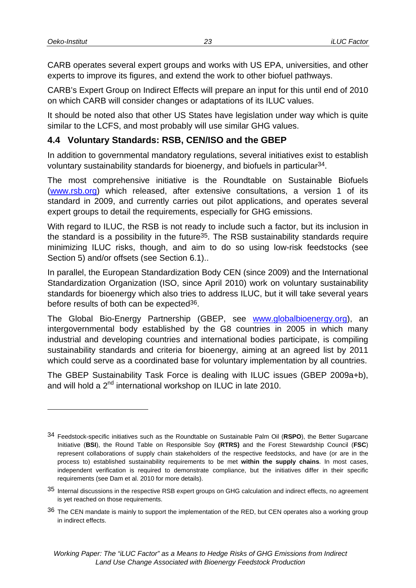CARB operates several expert groups and works with US EPA, universities, and other experts to improve its figures, and extend the work to other biofuel pathways.

CARB's Expert Group on Indirect Effects will prepare an input for this until end of 2010 on which CARB will consider changes or adaptations of its ILUC values.

It should be noted also that other US States have legislation under way which is quite similar to the LCFS, and most probably will use similar GHG values.

#### **4.4 Voluntary Standards: RSB, CEN/ISO and the GBEP**

In addition to governmental mandatory regulations, several initiatives exist to establish voluntary sustainability standards for bioenergy, and biofuels in particular34.

The most comprehensive initiative is the Roundtable on Sustainable Biofuels (www.rsb.org) which released, after extensive consultations, a version 1 of its standard in 2009, and currently carries out pilot applications, and operates several expert groups to detail the requirements, especially for GHG emissions.

With regard to ILUC, the RSB is not ready to include such a factor, but its inclusion in the standard is a possibility in the future<sup>35</sup>. The RSB sustainability standards require minimizing ILUC risks, though, and aim to do so using low-risk feedstocks (see Section 5) and/or offsets (see Section 6.1)..

In parallel, the European Standardization Body CEN (since 2009) and the International Standardization Organization (ISO, since April 2010) work on voluntary sustainability standards for bioenergy which also tries to address ILUC, but it will take several years before results of both can be expected<sup>36</sup>.

The Global Bio-Energy Partnership (GBEP, see www.globalbioenergy.org), an intergovernmental body established by the G8 countries in 2005 in which many industrial and developing countries and international bodies participate, is compiling sustainability standards and criteria for bioenergy, aiming at an agreed list by 2011 which could serve as a coordinated base for voluntary implementation by all countries.

The GBEP Sustainability Task Force is dealing with ILUC issues (GBEP 2009a+b), and will hold a 2<sup>nd</sup> international workshop on ILUC in late 2010.

<sup>34</sup> Feedstock-specific initiatives such as the Roundtable on Sustainable Palm Oil (**RSPO**), the Better Sugarcane Initiative (**BSI**), the Round Table on Responsible Soy **(RTRS)** and the Forest Stewardship Council (**FSC**) represent collaborations of supply chain stakeholders of the respective feedstocks, and have (or are in the process to) established sustainability requirements to be met **within the supply chains**. In most cases, independent verification is required to demonstrate compliance, but the initiatives differ in their specific requirements (see Dam et al. 2010 for more details).

<sup>35</sup> Internal discussions in the respective RSB expert groups on GHG calculation and indirect effects, no agreement is yet reached on those requirements.

<sup>36</sup> The CEN mandate is mainly to support the implementation of the RED, but CEN operates also a working group in indirect effects.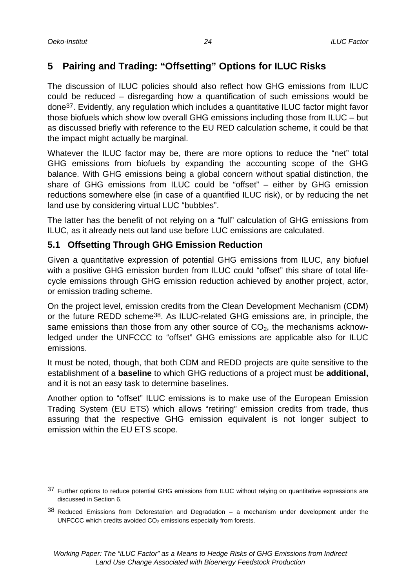# **5 Pairing and Trading: "Offsetting" Options for ILUC Risks**

The discussion of ILUC policies should also reflect how GHG emissions from ILUC could be reduced – disregarding how a quantification of such emissions would be done37. Evidently, any regulation which includes a quantitative ILUC factor might favor those biofuels which show low overall GHG emissions including those from ILUC – but as discussed briefly with reference to the EU RED calculation scheme, it could be that the impact might actually be marginal.

Whatever the ILUC factor may be, there are more options to reduce the "net" total GHG emissions from biofuels by expanding the accounting scope of the GHG balance. With GHG emissions being a global concern without spatial distinction, the share of GHG emissions from ILUC could be "offset" – either by GHG emission reductions somewhere else (in case of a quantified ILUC risk), or by reducing the net land use by considering virtual LUC "bubbles".

The latter has the benefit of not relying on a "full" calculation of GHG emissions from ILUC, as it already nets out land use before LUC emissions are calculated.

#### **5.1 Offsetting Through GHG Emission Reduction**

Given a quantitative expression of potential GHG emissions from ILUC, any biofuel with a positive GHG emission burden from ILUC could "offset" this share of total lifecycle emissions through GHG emission reduction achieved by another project, actor, or emission trading scheme.

On the project level, emission credits from the Clean Development Mechanism (CDM) or the future REDD scheme38. As ILUC-related GHG emissions are, in principle, the same emissions than those from any other source of  $CO<sub>2</sub>$ , the mechanisms acknowledged under the UNFCCC to "offset" GHG emissions are applicable also for ILUC emissions.

It must be noted, though, that both CDM and REDD projects are quite sensitive to the establishment of a **baseline** to which GHG reductions of a project must be **additional,** and it is not an easy task to determine baselines.

Another option to "offset" ILUC emissions is to make use of the European Emission Trading System (EU ETS) which allows "retiring" emission credits from trade, thus assuring that the respective GHG emission equivalent is not longer subject to emission within the EU ETS scope.

<sup>37</sup> Further options to reduce potential GHG emissions from ILUC without relying on quantitative expressions are discussed in Section 6.

 $38$  Reduced Emissions from Deforestation and Degradation – a mechanism under development under the UNFCCC which credits avoided  $CO<sub>2</sub>$  emissions especially from forests.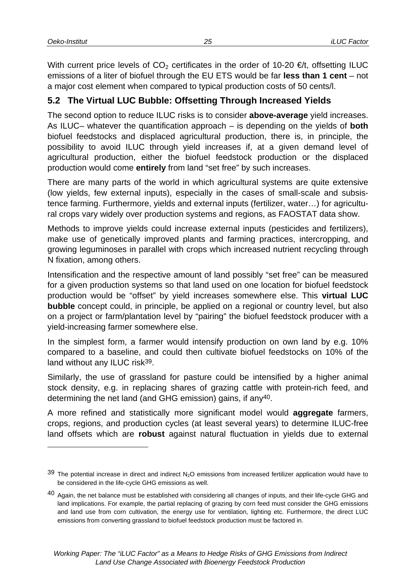With current price levels of  $CO<sub>2</sub>$  certificates in the order of 10-20  $\epsilon/t$ , offsetting ILUC emissions of a liter of biofuel through the EU ETS would be far **less than 1 cent** – not a major cost element when compared to typical production costs of 50 cents/l.

## **5.2 The Virtual LUC Bubble: Offsetting Through Increased Yields**

The second option to reduce ILUC risks is to consider **above-average** yield increases. As ILUC– whatever the quantification approach – is depending on the yields of **both** biofuel feedstocks and displaced agricultural production, there is, in principle, the possibility to avoid ILUC through yield increases if, at a given demand level of agricultural production, either the biofuel feedstock production or the displaced production would come **entirely** from land "set free" by such increases.

There are many parts of the world in which agricultural systems are quite extensive (low yields, few external inputs), especially in the cases of small-scale and subsistence farming. Furthermore, yields and external inputs (fertilizer, water…) for agricultural crops vary widely over production systems and regions, as FAOSTAT data show.

Methods to improve yields could increase external inputs (pesticides and fertilizers), make use of genetically improved plants and farming practices, intercropping, and growing leguminoses in parallel with crops which increased nutrient recycling through N fixation, among others.

Intensification and the respective amount of land possibly "set free" can be measured for a given production systems so that land used on one location for biofuel feedstock production would be "offset" by yield increases somewhere else. This **virtual LUC bubble** concept could, in principle, be applied on a regional or country level, but also on a project or farm/plantation level by "pairing" the biofuel feedstock producer with a yield-increasing farmer somewhere else.

In the simplest form, a farmer would intensify production on own land by e.g. 10% compared to a baseline, and could then cultivate biofuel feedstocks on 10% of the land without any ILUC risk39.

Similarly, the use of grassland for pasture could be intensified by a higher animal stock density, e.g. in replacing shares of grazing cattle with protein-rich feed, and determining the net land (and GHG emission) gains, if any40.

A more refined and statistically more significant model would **aggregate** farmers, crops, regions, and production cycles (at least several years) to determine ILUC-free land offsets which are **robust** against natural fluctuation in yields due to external

 $39$  The potential increase in direct and indirect N<sub>2</sub>O emissions from increased fertilizer application would have to be considered in the life-cycle GHG emissions as well.

<sup>40</sup> Again, the net balance must be established with considering all changes of inputs, and their life-cycle GHG and land implications. For example, the partial replacing of grazing by corn feed must consider the GHG emissions and land use from corn cultivation, the energy use for ventilation, lighting etc. Furthermore, the direct LUC emissions from converting grassland to biofuel feedstock production must be factored in.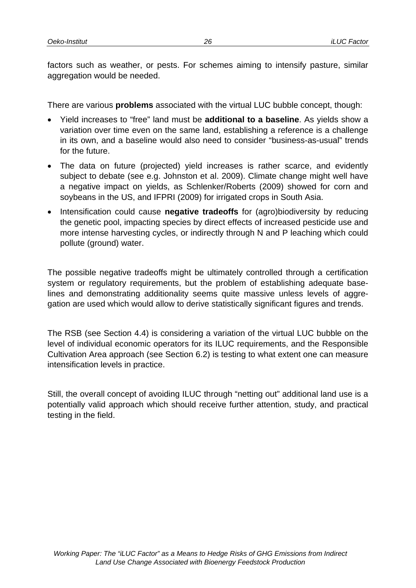factors such as weather, or pests. For schemes aiming to intensify pasture, similar aggregation would be needed.

There are various **problems** associated with the virtual LUC bubble concept, though:

- Yield increases to "free" land must be **additional to a baseline**. As yields show a variation over time even on the same land, establishing a reference is a challenge in its own, and a baseline would also need to consider "business-as-usual" trends for the future.
- The data on future (projected) yield increases is rather scarce, and evidently subject to debate (see e.g. Johnston et al. 2009). Climate change might well have a negative impact on yields, as Schlenker/Roberts (2009) showed for corn and soybeans in the US, and IFPRI (2009) for irrigated crops in South Asia.
- Intensification could cause **negative tradeoffs** for (agro)biodiversity by reducing the genetic pool, impacting species by direct effects of increased pesticide use and more intense harvesting cycles, or indirectly through N and P leaching which could pollute (ground) water.

The possible negative tradeoffs might be ultimately controlled through a certification system or regulatory requirements, but the problem of establishing adequate baselines and demonstrating additionality seems quite massive unless levels of aggregation are used which would allow to derive statistically significant figures and trends.

The RSB (see Section 4.4) is considering a variation of the virtual LUC bubble on the level of individual economic operators for its ILUC requirements, and the Responsible Cultivation Area approach (see Section 6.2) is testing to what extent one can measure intensification levels in practice.

Still, the overall concept of avoiding ILUC through "netting out" additional land use is a potentially valid approach which should receive further attention, study, and practical testing in the field.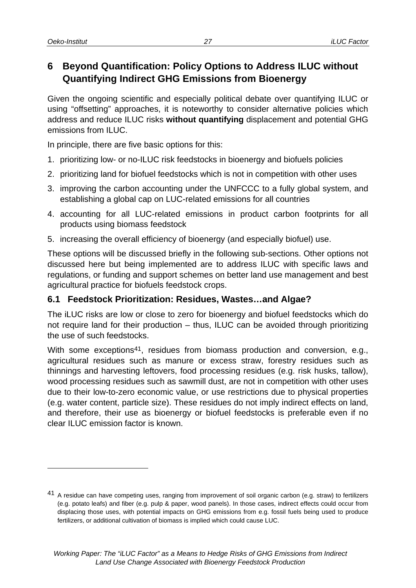# **6 Beyond Quantification: Policy Options to Address ILUC without Quantifying Indirect GHG Emissions from Bioenergy**

Given the ongoing scientific and especially political debate over quantifying ILUC or using "offsetting" approaches, it is noteworthy to consider alternative policies which address and reduce ILUC risks **without quantifying** displacement and potential GHG emissions from ILUC.

In principle, there are five basic options for this:

- 1. prioritizing low- or no-ILUC risk feedstocks in bioenergy and biofuels policies
- 2. prioritizing land for biofuel feedstocks which is not in competition with other uses
- 3. improving the carbon accounting under the UNFCCC to a fully global system, and establishing a global cap on LUC-related emissions for all countries
- 4. accounting for all LUC-related emissions in product carbon footprints for all products using biomass feedstock
- 5. increasing the overall efficiency of bioenergy (and especially biofuel) use.

These options will be discussed briefly in the following sub-sections. Other options not discussed here but being implemented are to address ILUC with specific laws and regulations, or funding and support schemes on better land use management and best agricultural practice for biofuels feedstock crops.

#### **6.1 Feedstock Prioritization: Residues, Wastes…and Algae?**

The iLUC risks are low or close to zero for bioenergy and biofuel feedstocks which do not require land for their production – thus, ILUC can be avoided through prioritizing the use of such feedstocks.

With some exceptions<sup>41</sup>, residues from biomass production and conversion, e.g., agricultural residues such as manure or excess straw, forestry residues such as thinnings and harvesting leftovers, food processing residues (e.g. risk husks, tallow), wood processing residues such as sawmill dust, are not in competition with other uses due to their low-to-zero economic value, or use restrictions due to physical properties (e.g. water content, particle size). These residues do not imply indirect effects on land, and therefore, their use as bioenergy or biofuel feedstocks is preferable even if no clear ILUC emission factor is known.

<sup>41</sup> A residue can have competing uses, ranging from improvement of soil organic carbon (e.g. straw) to fertilizers (e.g. potato leafs) and fiber (e.g. pulp & paper, wood panels). In those cases, indirect effects could occur from displacing those uses, with potential impacts on GHG emissions from e.g. fossil fuels being used to produce fertilizers, or additional cultivation of biomass is implied which could cause LUC.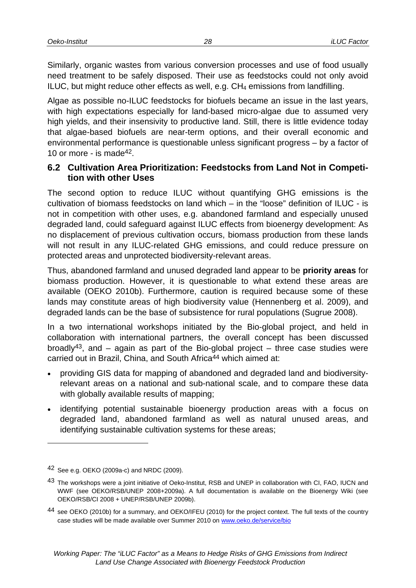Similarly, organic wastes from various conversion processes and use of food usually need treatment to be safely disposed. Their use as feedstocks could not only avoid ILUC, but might reduce other effects as well, e.g.  $CH_4$  emissions from landfilling.

Algae as possible no-ILUC feedstocks for biofuels became an issue in the last years, with high expectations especially for land-based micro-algae due to assumed very high yields, and their insensivity to productive land. Still, there is little evidence today that algae-based biofuels are near-term options, and their overall economic and environmental performance is questionable unless significant progress – by a factor of 10 or more - is made42.

#### **6.2 Cultivation Area Prioritization: Feedstocks from Land Not in Competition with other Uses**

The second option to reduce ILUC without quantifying GHG emissions is the cultivation of biomass feedstocks on land which – in the "loose" definition of ILUC - is not in competition with other uses, e.g. abandoned farmland and especially unused degraded land, could safeguard against ILUC effects from bioenergy development: As no displacement of previous cultivation occurs, biomass production from these lands will not result in any ILUC-related GHG emissions, and could reduce pressure on protected areas and unprotected biodiversity-relevant areas.

Thus, abandoned farmland and unused degraded land appear to be **priority areas** for biomass production. However, it is questionable to what extend these areas are available (OEKO 2010b). Furthermore, caution is required because some of these lands may constitute areas of high biodiversity value (Hennenberg et al. 2009), and degraded lands can be the base of subsistence for rural populations (Sugrue 2008).

In a two international workshops initiated by the Bio-global project, and held in collaboration with international partners, the overall concept has been discussed broadly<sup>43</sup>, and – again as part of the Bio-global project – three case studies were carried out in Brazil, China, and South Africa<sup>44</sup> which aimed at:

- providing GIS data for mapping of abandoned and degraded land and biodiversityrelevant areas on a national and sub-national scale, and to compare these data with globally available results of mapping;
- identifying potential sustainable bioenergy production areas with a focus on degraded land, abandoned farmland as well as natural unused areas, and identifying sustainable cultivation systems for these areas;

l

<sup>42</sup> See e.g. OEKO (2009a-c) and NRDC (2009).

<sup>43</sup> The workshops were a joint initiative of Oeko-Institut, RSB and UNEP in collaboration with CI, FAO, IUCN and WWF (see OEKO/RSB/UNEP 2008+2009a). A full documentation is available on the Bioenergy Wiki (see OEKO/RSB/CI 2008 + UNEP/RSB/UNEP 2009b).

<sup>44</sup> see OEKO (2010b) for a summary, and OEKO/IFEU (2010) for the project context. The full texts of the country case studies will be made available over Summer 2010 on www.oeko.de/service/bio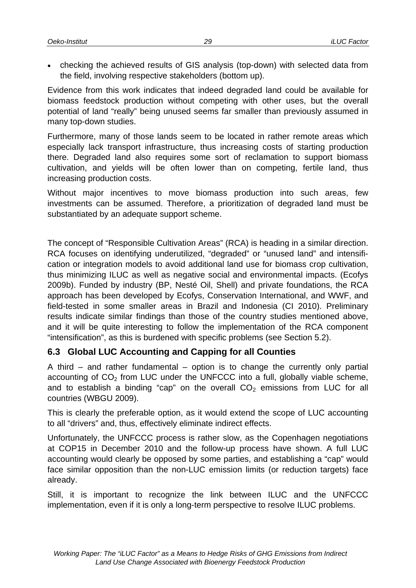checking the achieved results of GIS analysis (top-down) with selected data from the field, involving respective stakeholders (bottom up).

Evidence from this work indicates that indeed degraded land could be available for biomass feedstock production without competing with other uses, but the overall potential of land "really" being unused seems far smaller than previously assumed in many top-down studies.

Furthermore, many of those lands seem to be located in rather remote areas which especially lack transport infrastructure, thus increasing costs of starting production there. Degraded land also requires some sort of reclamation to support biomass cultivation, and yields will be often lower than on competing, fertile land, thus increasing production costs.

Without major incentives to move biomass production into such areas, few investments can be assumed. Therefore, a prioritization of degraded land must be substantiated by an adequate support scheme.

The concept of "Responsible Cultivation Areas" (RCA) is heading in a similar direction. RCA focuses on identifying underutilized, "degraded" or "unused land" and intensification or integration models to avoid additional land use for biomass crop cultivation, thus minimizing ILUC as well as negative social and environmental impacts. (Ecofys 2009b). Funded by industry (BP, Nesté Oil, Shell) and private foundations, the RCA approach has been developed by Ecofys, Conservation International, and WWF, and field-tested in some smaller areas in Brazil and Indonesia (CI 2010). Preliminary results indicate similar findings than those of the country studies mentioned above, and it will be quite interesting to follow the implementation of the RCA component "intensification", as this is burdened with specific problems (see Section 5.2).

#### **6.3 Global LUC Accounting and Capping for all Counties**

A third  $-$  and rather fundamental  $-$  option is to change the currently only partial accounting of  $CO<sub>2</sub>$  from LUC under the UNFCCC into a full, globally viable scheme, and to establish a binding "cap" on the overall  $CO<sub>2</sub>$  emissions from LUC for all countries (WBGU 2009).

This is clearly the preferable option, as it would extend the scope of LUC accounting to all "drivers" and, thus, effectively eliminate indirect effects.

Unfortunately, the UNFCCC process is rather slow, as the Copenhagen negotiations at COP15 in December 2010 and the follow-up process have shown. A full LUC accounting would clearly be opposed by some parties, and establishing a "cap" would face similar opposition than the non-LUC emission limits (or reduction targets) face already.

Still, it is important to recognize the link between ILUC and the UNFCCC implementation, even if it is only a long-term perspective to resolve ILUC problems.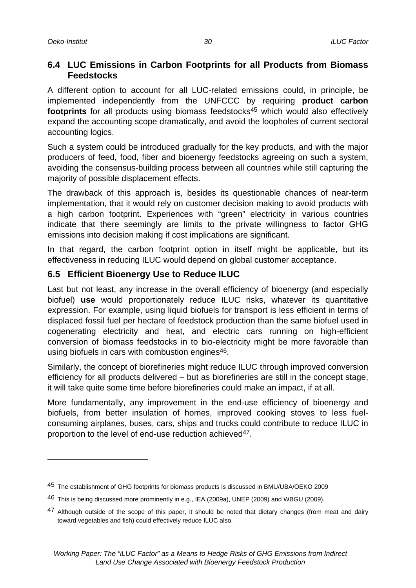#### **6.4 LUC Emissions in Carbon Footprints for all Products from Biomass Feedstocks**

A different option to account for all LUC-related emissions could, in principle, be implemented independently from the UNFCCC by requiring **product carbon**  footprints for all products using biomass feedstocks<sup>45</sup> which would also effectively expand the accounting scope dramatically, and avoid the loopholes of current sectoral accounting logics.

Such a system could be introduced gradually for the key products, and with the major producers of feed, food, fiber and bioenergy feedstocks agreeing on such a system, avoiding the consensus-building process between all countries while still capturing the majority of possible displacement effects.

The drawback of this approach is, besides its questionable chances of near-term implementation, that it would rely on customer decision making to avoid products with a high carbon footprint. Experiences with "green" electricity in various countries indicate that there seemingly are limits to the private willingness to factor GHG emissions into decision making if cost implications are significant.

In that regard, the carbon footprint option in itself might be applicable, but its effectiveness in reducing ILUC would depend on global customer acceptance.

## **6.5 Efficient Bioenergy Use to Reduce ILUC**

Last but not least, any increase in the overall efficiency of bioenergy (and especially biofuel) **use** would proportionately reduce ILUC risks, whatever its quantitative expression. For example, using liquid biofuels for transport is less efficient in terms of displaced fossil fuel per hectare of feedstock production than the same biofuel used in cogenerating electricity and heat, and electric cars running on high-efficient conversion of biomass feedstocks in to bio-electricity might be more favorable than using biofuels in cars with combustion engines<sup>46</sup>.

Similarly, the concept of biorefineries might reduce ILUC through improved conversion efficiency for all products delivered – but as biorefineries are still in the concept stage, it will take quite some time before biorefineries could make an impact, if at all.

More fundamentally, any improvement in the end-use efficiency of bioenergy and biofuels, from better insulation of homes, improved cooking stoves to less fuelconsuming airplanes, buses, cars, ships and trucks could contribute to reduce ILUC in proportion to the level of end-use reduction achieved<sup>47</sup>.

<sup>45</sup> The establishment of GHG footprints for biomass products is discussed in BMU/UBA/OEKO 2009

<sup>46</sup> This is being discussed more prominently in e.g., IEA (2009a), UNEP (2009) and WBGU (2009).

<sup>&</sup>lt;sup>47</sup> Although outside of the scope of this paper, it should be noted that dietary changes (from meat and dairy toward vegetables and fish) could effectively reduce ILUC also.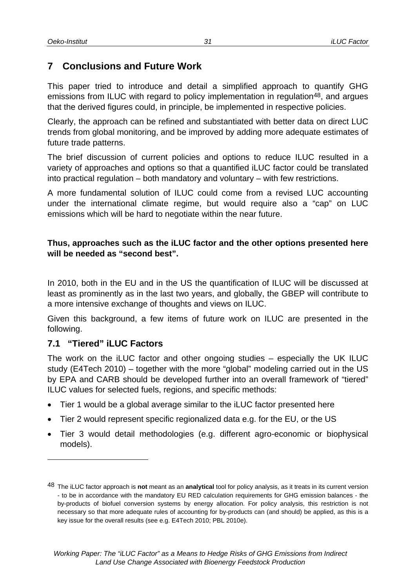## **7 Conclusions and Future Work**

This paper tried to introduce and detail a simplified approach to quantify GHG emissions from ILUC with regard to policy implementation in regulation<sup>48</sup>, and argues that the derived figures could, in principle, be implemented in respective policies.

Clearly, the approach can be refined and substantiated with better data on direct LUC trends from global monitoring, and be improved by adding more adequate estimates of future trade patterns.

The brief discussion of current policies and options to reduce ILUC resulted in a variety of approaches and options so that a quantified iLUC factor could be translated into practical regulation – both mandatory and voluntary – with few restrictions.

A more fundamental solution of ILUC could come from a revised LUC accounting under the international climate regime, but would require also a "cap" on LUC emissions which will be hard to negotiate within the near future.

#### **Thus, approaches such as the iLUC factor and the other options presented here will be needed as "second best".**

In 2010, both in the EU and in the US the quantification of ILUC will be discussed at least as prominently as in the last two years, and globally, the GBEP will contribute to a more intensive exchange of thoughts and views on ILUC.

Given this background, a few items of future work on ILUC are presented in the following.

#### **7.1 "Tiered" iLUC Factors**

l

The work on the iLUC factor and other ongoing studies – especially the UK ILUC study (E4Tech 2010) – together with the more "global" modeling carried out in the US by EPA and CARB should be developed further into an overall framework of "tiered" ILUC values for selected fuels, regions, and specific methods:

- Tier 1 would be a global average similar to the iLUC factor presented here
- Tier 2 would represent specific regionalized data e.g. for the EU, or the US
- Tier 3 would detail methodologies (e.g. different agro-economic or biophysical models).

<sup>48</sup> The iLUC factor approach is **not** meant as an **analytical** tool for policy analysis, as it treats in its current version - to be in accordance with the mandatory EU RED calculation requirements for GHG emission balances - the by-products of biofuel conversion systems by energy allocation. For policy analysis, this restriction is not necessary so that more adequate rules of accounting for by-products can (and should) be applied, as this is a key issue for the overall results (see e.g. E4Tech 2010; PBL 2010e).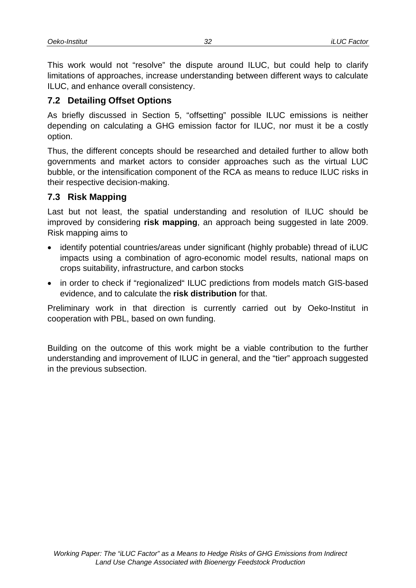This work would not "resolve" the dispute around ILUC, but could help to clarify limitations of approaches, increase understanding between different ways to calculate ILUC, and enhance overall consistency.

## **7.2 Detailing Offset Options**

As briefly discussed in Section 5, "offsetting" possible ILUC emissions is neither depending on calculating a GHG emission factor for ILUC, nor must it be a costly option.

Thus, the different concepts should be researched and detailed further to allow both governments and market actors to consider approaches such as the virtual LUC bubble, or the intensification component of the RCA as means to reduce ILUC risks in their respective decision-making.

#### **7.3 Risk Mapping**

Last but not least, the spatial understanding and resolution of ILUC should be improved by considering **risk mapping**, an approach being suggested in late 2009. Risk mapping aims to

- identify potential countries/areas under significant (highly probable) thread of iLUC impacts using a combination of agro-economic model results, national maps on crops suitability, infrastructure, and carbon stocks
- in order to check if "regionalized" ILUC predictions from models match GIS-based evidence, and to calculate the **risk distribution** for that.

Preliminary work in that direction is currently carried out by Oeko-Institut in cooperation with PBL, based on own funding.

Building on the outcome of this work might be a viable contribution to the further understanding and improvement of ILUC in general, and the "tier" approach suggested in the previous subsection.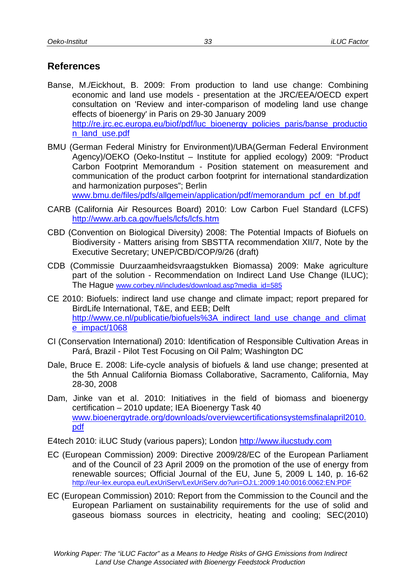# **References**

- Banse, M./Eickhout, B. 2009: From production to land use change: Combining economic and land use models - presentation at the JRC/EEA/OECD expert consultation on 'Review and inter-comparison of modeling land use change effects of bioenergy' in Paris on 29-30 January 2009 http://re.jrc.ec.europa.eu/biof/pdf/luc\_bioenergy\_policies\_paris/banse\_productio n\_land\_use.pdf
- BMU (German Federal Ministry for Environment)/UBA(German Federal Environment Agency)/OEKO (Oeko-Institut – Institute for applied ecology) 2009: "Product Carbon Footprint Memorandum - Position statement on measurement and communication of the product carbon footprint for international standardization and harmonization purposes"; Berlin

www.bmu.de/files/pdfs/allgemein/application/pdf/memorandum\_pcf\_en\_bf.pdf

- CARB (California Air Resources Board) 2010: Low Carbon Fuel Standard (LCFS) http://www.arb.ca.gov/fuels/lcfs/lcfs.htm
- CBD (Convention on Biological Diversity) 2008: The Potential Impacts of Biofuels on Biodiversity - Matters arising from SBSTTA recommendation XII/7, Note by the Executive Secretary; UNEP/CBD/COP/9/26 (draft)
- CDB (Commissie Duurzaamheidsvraagstukken Biomassa) 2009: Make agriculture part of the solution - Recommendation on Indirect Land Use Change (ILUC); The Hague www.corbey.nl/includes/download.asp?media\_id=585
- CE 2010: Biofuels: indirect land use change and climate impact; report prepared for BirdLife International, T&E, and EEB; Delft http://www.ce.nl/publicatie/biofuels%3A\_indirect\_land\_use\_change\_and\_climat e\_impact/1068
- CI (Conservation International) 2010: Identification of Responsible Cultivation Areas in Pará, Brazil - Pilot Test Focusing on Oil Palm; Washington DC
- Dale, Bruce E. 2008: Life-cycle analysis of biofuels & land use change; presented at the 5th Annual California Biomass Collaborative, Sacramento, California, May 28-30, 2008
- Dam, Jinke van et al. 2010: Initiatives in the field of biomass and bioenergy certification – 2010 update; IEA Bioenergy Task 40 www.bioenergytrade.org/downloads/overviewcertificationsystemsfinalapril2010. pdf

E4tech 2010: iLUC Study (various papers); London http://www.ilucstudy.com

- EC (European Commission) 2009: Directive 2009/28/EC of the European Parliament and of the Council of 23 April 2009 on the promotion of the use of energy from renewable sources; Official Journal of the EU, June 5, 2009 L 140, p. 16-62 http://eur-lex.europa.eu/LexUriServ/LexUriServ.do?uri=OJ:L:2009:140:0016:0062:EN:PDF
- EC (European Commission) 2010: Report from the Commission to the Council and the European Parliament on sustainability requirements for the use of solid and gaseous biomass sources in electricity, heating and cooling; SEC(2010)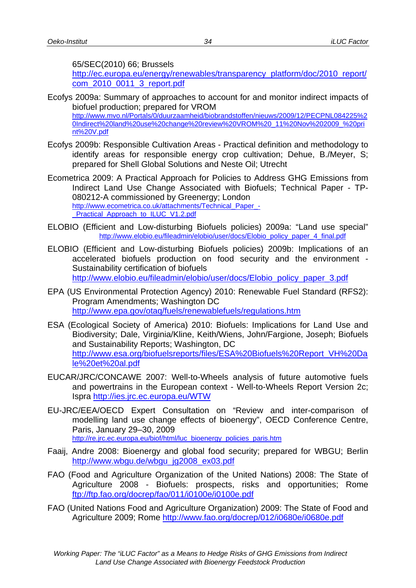65/SEC(2010) 66; Brussels

http://ec.europa.eu/energy/renewables/transparency\_platform/doc/2010\_report/ com\_2010\_0011\_3\_report.pdf

- Ecofys 2009a: Summary of approaches to account for and monitor indirect impacts of biofuel production; prepared for VROM http://www.mvo.nl/Portals/0/duurzaamheid/biobrandstoffen/nieuws/2009/12/PECPNL084225%2 0Indirect%20land%20use%20change%20review%20VROM%20\_11%20Nov%202009\_%20pri nt%20V.pdf
- Ecofys 2009b: Responsible Cultivation Areas Practical definition and methodology to identify areas for responsible energy crop cultivation; Dehue, B./Meyer, S; prepared for Shell Global Solutions and Neste Oil; Utrecht
- Ecometrica 2009: A Practical Approach for Policies to Address GHG Emissions from Indirect Land Use Change Associated with Biofuels; Technical Paper - TP-080212-A commissioned by Greenergy; London http://www.ecometrica.co.uk/attachments/Technical\_Paper\_- \_Practical\_Approach\_to\_ILUC\_V1.2.pdf
- ELOBIO (Efficient and Low-disturbing Biofuels policies) 2009a: "Land use special"<br>http://www.elobio.eu/fileadmin/elobio/user/docs/Elobio\_policy\_paper\_4\_final.pdf
- ELOBIO (Efficient and Low-disturbing Biofuels policies) 2009b: Implications of an accelerated biofuels production on food security and the environment - Sustainability certification of biofuels http://www.elobio.eu/fileadmin/elobio/user/docs/Elobio\_policy\_paper\_3.pdf
- EPA (US Environmental Protection Agency) 2010: Renewable Fuel Standard (RFS2): Program Amendments; Washington DC http://www.epa.gov/otaq/fuels/renewablefuels/regulations.htm
- ESA (Ecological Society of America) 2010: Biofuels: Implications for Land Use and Biodiversity; Dale, Virginia/Kline, Keith/Wiens, John/Fargione, Joseph; Biofuels and Sustainability Reports; Washington, DC http://www.esa.org/biofuelsreports/files/ESA%20Biofuels%20Report\_VH%20Da le%20et%20al.pdf
- EUCAR/JRC/CONCAWE 2007: Well-to-Wheels analysis of future automotive fuels and powertrains in the European context - Well-to-Wheels Report Version 2c; Ispra http://ies.jrc.ec.europa.eu/WTW
- EU-JRC/EEA/OECD Expert Consultation on "Review and inter-comparison of modelling land use change effects of bioenergy", OECD Conference Centre, Paris, January 29–30, 2009 http://re.jrc.ec.europa.eu/biof/html/luc\_bioenergy\_policies\_paris.htm
- Faaij, Andre 2008: Bioenergy and global food security; prepared for WBGU; Berlin http://www.wbgu.de/wbgu\_jg2008\_ex03.pdf
- FAO (Food and Agriculture Organization of the United Nations) 2008: The State of Agriculture 2008 - Biofuels: prospects, risks and opportunities; Rome ftp://ftp.fao.org/docrep/fao/011/i0100e/i0100e.pdf
- FAO (United Nations Food and Agriculture Organization) 2009: The State of Food and Agriculture 2009; Rome http://www.fao.org/docrep/012/i0680e/i0680e.pdf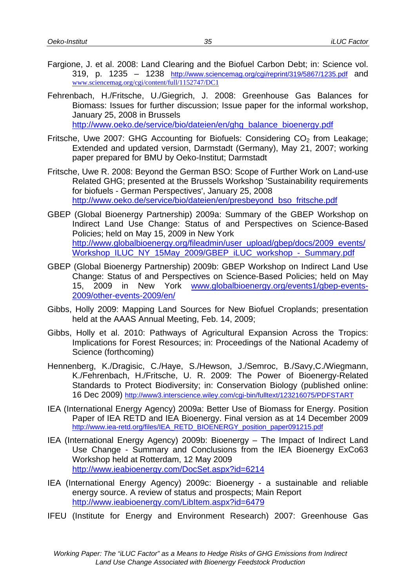- Fargione, J. et al. 2008: Land Clearing and the Biofuel Carbon Debt; in: Science vol. 319, p. 1235 – 1238 http://www.sciencemag.org/cgi/reprint/319/5867/1235.pdf and www.sciencemag.org/cgi/content/full/1152747/DC1
- Fehrenbach, H./Fritsche, U./Giegrich, J. 2008: Greenhouse Gas Balances for Biomass: Issues for further discussion; Issue paper for the informal workshop, January 25, 2008 in Brussels http://www.oeko.de/service/bio/dateien/en/ghg\_balance\_bioenergy.pdf
- Fritsche, Uwe 2007: GHG Accounting for Biofuels: Considering  $CO<sub>2</sub>$  from Leakage; Extended and updated version, Darmstadt (Germany), May 21, 2007; working paper prepared for BMU by Oeko-Institut; Darmstadt
- Fritsche, Uwe R. 2008: Beyond the German BSO: Scope of Further Work on Land-use Related GHG; presented at the Brussels Workshop 'Sustainability requirements for biofuels - German Perspectives', January 25, 2008 http://www.oeko.de/service/bio/dateien/en/presbeyond\_bso\_fritsche.pdf
- GBEP (Global Bioenergy Partnership) 2009a: Summary of the GBEP Workshop on Indirect Land Use Change: Status of and Perspectives on Science-Based Policies; held on May 15, 2009 in New York http://www.globalbioenergy.org/fileadmin/user\_upload/gbep/docs/2009\_events/ Workshop\_ILUC\_NY\_15May\_2009/GBEP\_iLUC\_workshop\_-\_Summary.pdf
- GBEP (Global Bioenergy Partnership) 2009b: GBEP Workshop on Indirect Land Use Change: Status of and Perspectives on Science-Based Policies; held on May 15, 2009 in New York www.globalbioenergy.org/events1/gbep-events-2009/other-events-2009/en/
- Gibbs, Holly 2009: Mapping Land Sources for New Biofuel Croplands; presentation held at the AAAS Annual Meeting, Feb. 14, 2009;
- Gibbs, Holly et al. 2010: Pathways of Agricultural Expansion Across the Tropics: Implications for Forest Resources; in: Proceedings of the National Academy of Science (forthcoming)
- Hennenberg, K./Dragisic, C./Haye, S./Hewson, J./Semroc, B./Savy,C./Wiegmann, K./Fehrenbach, H./Fritsche, U. R. 2009: The Power of Bioenergy-Related Standards to Protect Biodiversity; in: Conservation Biology (published online: 16 Dec 2009) http://www3.interscience.wiley.com/cgi-bin/fulltext/123216075/PDFSTART
- IEA (International Energy Agency) 2009a: Better Use of Biomass for Energy. Position Paper of IEA RETD and IEA Bioenergy. Final version as at 14 December 2009 http://www.iea-retd.org/files/IEA\_RETD\_BIOENERGY\_position\_paper091215.pdf
- IEA (International Energy Agency) 2009b: Bioenergy The Impact of Indirect Land Use Change - Summary and Conclusions from the IEA Bioenergy ExCo63 Workshop held at Rotterdam, 12 May 2009 http://www.ieabioenergy.com/DocSet.aspx?id=6214
- IEA (International Energy Agency) 2009c: Bioenergy a sustainable and reliable energy source. A review of status and prospects; Main Report http://www.ieabioenergy.com/LibItem.aspx?id=6479
- IFEU (Institute for Energy and Environment Research) 2007: Greenhouse Gas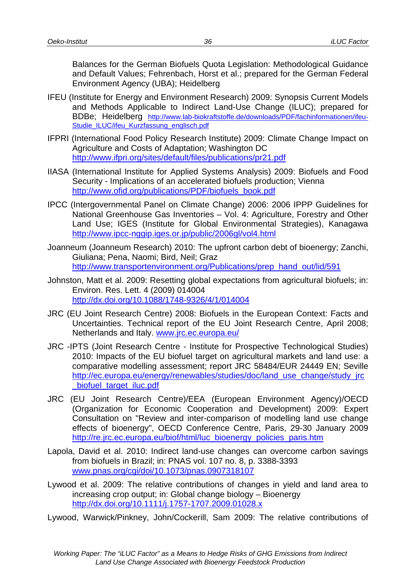Balances for the German Biofuels Quota Legislation: Methodological Guidance and Default Values; Fehrenbach, Horst et al.; prepared for the German Federal Environment Agency (UBA); Heidelberg

- IFEU (Institute for Energy and Environment Research) 2009: Synopsis Current Models and Methods Applicable to Indirect Land-Use Change (ILUC); prepared for BDBe; Heidelberg http://www.lab-biokraftstoffe.de/downloads/PDF/fachinformationen/ifeu-Studie\_ILUC/ifeu\_Kurzfassung\_englisch.pdf
- IFPRI (International Food Policy Research Institute) 2009: Climate Change Impact on Agriculture and Costs of Adaptation; Washington DC http://www.ifpri.org/sites/default/files/publications/pr21.pdf
- IIASA (International Institute for Applied Systems Analysis) 2009: Biofuels and Food Security - Implications of an accelerated biofuels production; Vienna http://www.ofid.org/publications/PDF/biofuels\_book.pdf
- IPCC (Intergovernmental Panel on Climate Change) 2006: 2006 IPPP Guidelines for National Greenhouse Gas Inventories – Vol. 4: Agriculture, Forestry and Other Land Use; IGES (Institute for Global Environmental Strategies), Kanagawa http://www.ipcc-nggip.iges.or.jp/public/2006gl/vol4.html
- Joanneum (Joanneum Research) 2010: The upfront carbon debt of bioenergy; Zanchi, Giuliana; Pena, Naomi; Bird, Neil; Graz http://www.transportenvironment.org/Publications/prep\_hand\_out/lid/591
- Johnston, Matt et al. 2009: Resetting global expectations from agricultural biofuels; in: Environ. Res. Lett. 4 (2009) 014004 http://dx.doi.org/10.1088/1748-9326/4/1/014004
- JRC (EU Joint Research Centre) 2008: Biofuels in the European Context: Facts and Uncertainties. Technical report of the EU Joint Research Centre, April 2008; Netherlands and Italy. www.jrc.ec.europa.eu/
- JRC -IPTS (Joint Research Centre Institute for Prospective Technological Studies) 2010: Impacts of the EU biofuel target on agricultural markets and land use: a comparative modelling assessment; report JRC 58484/EUR 24449 EN; Seville http://ec.europa.eu/energy/renewables/studies/doc/land\_use\_change/study\_jrc biofuel target iluc.pdf
- JRC (EU Joint Research Centre)/EEA (European Environment Agency)/OECD (Organization for Economic Cooperation and Development) 2009: Expert Consultation on "Review and inter-comparison of modelling land use change effects of bioenergy", OECD Conference Centre, Paris, 29-30 January 2009 http://re.jrc.ec.europa.eu/biof/html/luc\_bioenergy\_policies\_paris.htm
- Lapola, David et al. 2010: Indirect land-use changes can overcome carbon savings from biofuels in Brazil; in: PNAS vol. 107 no. 8, p. 3388-3393 www.pnas.org/cgi/doi/10.1073/pnas.0907318107
- Lywood et al. 2009: The relative contributions of changes in yield and land area to increasing crop output; in: Global change biology – Bioenergy http://dx.doi.org/10.1111/j.1757-1707.2009.01028.x

Lywood, Warwick/Pinkney, John/Cockerill, Sam 2009: The relative contributions of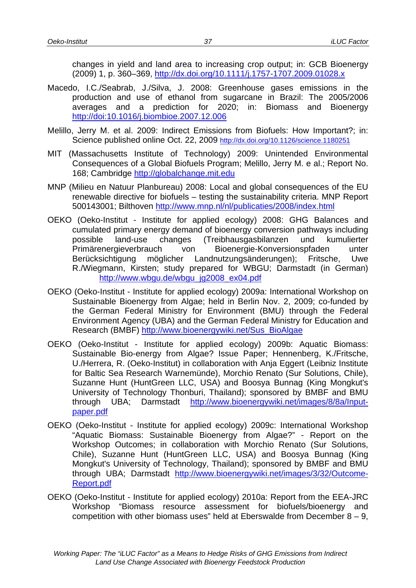changes in yield and land area to increasing crop output; in: GCB Bioenergy (2009) 1, p. 360–369, http://dx.doi.org/10.1111/j.1757-1707.2009.01028.x

- Macedo, I.C./Seabrab, J./Silva, J. 2008: Greenhouse gases emissions in the production and use of ethanol from sugarcane in Brazil: The 2005/2006 averages and a prediction for 2020; in: Biomass and Bioenergy http://doi:10.1016/j.biombioe.2007.12.006
- Melillo, Jerry M. et al. 2009: Indirect Emissions from Biofuels: How Important?; in: Science published online Oct. 22, 2009 http://dx.doi.org/10.1126/science.1180251
- MIT (Massachusetts Institute of Technology) 2009: Unintended Environmental Consequences of a Global Biofuels Program; Melillo, Jerry M. e al.; Report No. 168; Cambridge http://globalchange.mit.edu
- MNP (Milieu en Natuur Planbureau) 2008: Local and global consequences of the EU renewable directive for biofuels – testing the sustainability criteria. MNP Report 500143001; Bilthoven http://www.mnp.nl/nl/publicaties/2008/index.html
- OEKO (Oeko-Institut Institute for applied ecology) 2008: GHG Balances and cumulated primary energy demand of bioenergy conversion pathways including possible land-use changes (Treibhausgasbilanzen und kumulierter Primärenergieverbrauch von Bioenergie-Konversionspfaden unter Berücksichtigung möglicher Landnutzungsänderungen); Fritsche, Uwe R./Wiegmann, Kirsten; study prepared for WBGU; Darmstadt (in German) http://www.wbgu.de/wbgu\_jg2008\_ex04.pdf
- OEKO (Oeko-Institut Institute for applied ecology) 2009a: International Workshop on Sustainable Bioenergy from Algae; held in Berlin Nov. 2, 2009; co-funded by the German Federal Ministry for Environment (BMU) through the Federal Environment Agency (UBA) and the German Federal Ministry for Education and Research (BMBF) http://www.bioenergywiki.net/Sus\_BioAlgae
- OEKO (Oeko-Institut Institute for applied ecology) 2009b: Aquatic Biomass: Sustainable Bio-energy from Algae? Issue Paper; Hennenberg, K./Fritsche, U./Herrera, R. (Oeko-Institut) in collaboration with Anja Eggert (Leibniz Institute for Baltic Sea Research Warnemünde), Morchio Renato (Sur Solutions, Chile), Suzanne Hunt (HuntGreen LLC, USA) and Boosya Bunnag (King Mongkut's University of Technology Thonburi, Thailand); sponsored by BMBF and BMU through UBA; Darmstadt http://www.bioenergywiki.net/images/8/8a/Inputpaper.pdf
- OEKO (Oeko-Institut Institute for applied ecology) 2009c: International Workshop "Aquatic Biomass: Sustainable Bioenergy from Algae?" - Report on the Workshop Outcomes; in collaboration with Morchio Renato (Sur Solutions, Chile), Suzanne Hunt (HuntGreen LLC, USA) and Boosya Bunnag (King Mongkut's University of Technology, Thailand); sponsored by BMBF and BMU through UBA; Darmstadt http://www.bioenergywiki.net/images/3/32/Outcome-Report.pdf
- OEKO (Oeko-Institut Institute for applied ecology) 2010a: Report from the EEA-JRC Workshop "Biomass resource assessment for biofuels/bioenergy and competition with other biomass uses" held at Eberswalde from December  $8 - 9$ ,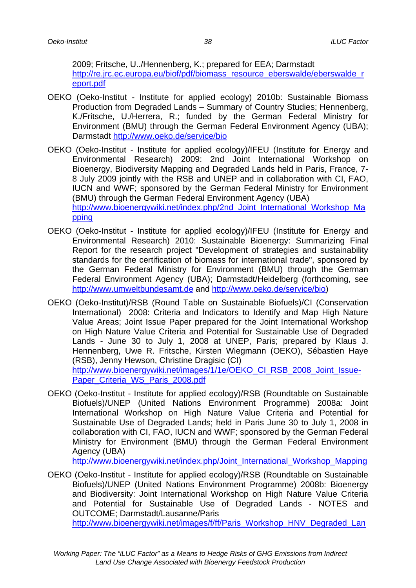2009; Fritsche, U../Hennenberg, K.; prepared for EEA; Darmstadt http://re.jrc.ec.europa.eu/biof/pdf/biomass\_resource\_eberswalde/eberswalde\_r eport.pdf

- OEKO (Oeko-Institut Institute for applied ecology) 2010b: Sustainable Biomass Production from Degraded Lands – Summary of Country Studies; Hennenberg, K./Fritsche, U./Herrera, R.; funded by the German Federal Ministry for Environment (BMU) through the German Federal Environment Agency (UBA); Darmstadt http://www.oeko.de/service/bio
- OEKO (Oeko-Institut Institute for applied ecology)/IFEU (Institute for Energy and Environmental Research) 2009: 2nd Joint International Workshop on Bioenergy, Biodiversity Mapping and Degraded Lands held in Paris, France, 7- 8 July 2009 jointly with the RSB and UNEP and in collaboration with CI, FAO, IUCN and WWF; sponsored by the German Federal Ministry for Environment (BMU) through the German Federal Environment Agency (UBA) http://www.bioenergywiki.net/index.php/2nd\_Joint\_International\_Workshop\_Ma pping
- OEKO (Oeko-Institut Institute for applied ecology)/IFEU (Institute for Energy and Environmental Research) 2010: Sustainable Bioenergy: Summarizing Final Report for the research project "Development of strategies and sustainability standards for the certification of biomass for international trade", sponsored by the German Federal Ministry for Environment (BMU) through the German Federal Environment Agency (UBA); Darmstadt/Heidelberg (forthcoming, see http://www.umweltbundesamt.de and http://www.oeko.de/service/bio)
- OEKO (Oeko-Institut)/RSB (Round Table on Sustainable Biofuels)/CI (Conservation International) 2008: Criteria and Indicators to Identify and Map High Nature Value Areas; Joint Issue Paper prepared for the Joint International Workshop on High Nature Value Criteria and Potential for Sustainable Use of Degraded Lands - June 30 to July 1, 2008 at UNEP, Paris; prepared by Klaus J. Hennenberg, Uwe R. Fritsche, Kirsten Wiegmann (OEKO), Sébastien Haye (RSB), Jenny Hewson, Christine Dragisic (CI) http://www.bioenergywiki.net/images/1/1e/OEKO\_CI\_RSB\_2008\_Joint\_Issue-Paper Criteria WS Paris\_2008.pdf
- OEKO (Oeko-Institut Institute for applied ecology)/RSB (Roundtable on Sustainable Biofuels)/UNEP (United Nations Environment Programme) 2008a: Joint International Workshop on High Nature Value Criteria and Potential for Sustainable Use of Degraded Lands; held in Paris June 30 to July 1, 2008 in collaboration with CI, FAO, IUCN and WWF; sponsored by the German Federal Ministry for Environment (BMU) through the German Federal Environment Agency (UBA)

http://www.bioenergywiki.net/index.php/Joint\_International\_Workshop\_Mapping

OEKO (Oeko-Institut - Institute for applied ecology)/RSB (Roundtable on Sustainable Biofuels)/UNEP (United Nations Environment Programme) 2008b: Bioenergy and Biodiversity: Joint International Workshop on High Nature Value Criteria and Potential for Sustainable Use of Degraded Lands - NOTES and OUTCOME; Darmstadt/Lausanne/Paris http://www.bioenergywiki.net/images/f/ff/Paris\_Workshop\_HNV\_Degraded\_Lan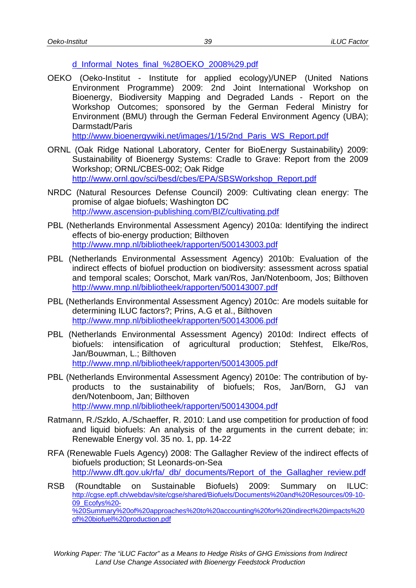#### d\_Informal\_Notes\_final\_%28OEKO\_2008%29.pdf

OEKO (Oeko-Institut - Institute for applied ecology)/UNEP (United Nations Environment Programme) 2009: 2nd Joint International Workshop on Bioenergy, Biodiversity Mapping and Degraded Lands - Report on the Workshop Outcomes; sponsored by the German Federal Ministry for Environment (BMU) through the German Federal Environment Agency (UBA); Darmstadt/Paris http://www.bioenergywiki.net/images/1/15/2nd Paris WS Report.pdf

ORNL (Oak Ridge National Laboratory, Center for BioEnergy Sustainability) 2009: Sustainability of Bioenergy Systems: Cradle to Grave: Report from the 2009 Workshop; ORNL/CBES-002; Oak Ridge http://www.ornl.gov/sci/besd/cbes/EPA/SBSWorkshop\_Report.pdf

- NRDC (Natural Resources Defense Council) 2009: Cultivating clean energy: The promise of algae biofuels; Washington DC http://www.ascension-publishing.com/BIZ/cultivating.pdf
- PBL (Netherlands Environmental Assessment Agency) 2010a: Identifying the indirect effects of bio-energy production; Bilthoven http://www.mnp.nl/bibliotheek/rapporten/500143003.pdf
- PBL (Netherlands Environmental Assessment Agency) 2010b: Evaluation of the indirect effects of biofuel production on biodiversity: assessment across spatial and temporal scales; Oorschot, Mark van/Ros, Jan/Notenboom, Jos; Bilthoven http://www.mnp.nl/bibliotheek/rapporten/500143007.pdf
- PBL (Netherlands Environmental Assessment Agency) 2010c: Are models suitable for determining ILUC factors?; Prins, A.G et al., Bilthoven http://www.mnp.nl/bibliotheek/rapporten/500143006.pdf
- PBL (Netherlands Environmental Assessment Agency) 2010d: Indirect effects of biofuels: intensification of agricultural production; Stehfest, Elke/Ros, Jan/Bouwman, L.; Bilthoven http://www.mnp.nl/bibliotheek/rapporten/500143005.pdf
- PBL (Netherlands Environmental Assessment Agency) 2010e: The contribution of byproducts to the sustainability of biofuels; Ros, Jan/Born, GJ van den/Notenboom, Jan; Bilthoven http://www.mnp.nl/bibliotheek/rapporten/500143004.pdf
- Ratmann, R./Szklo, A./Schaeffer, R. 2010: Land use competition for production of food and liquid biofuels: An analysis of the arguments in the current debate; in: Renewable Energy vol. 35 no. 1, pp. 14-22
- RFA (Renewable Fuels Agency) 2008: The Gallagher Review of the indirect effects of biofuels production; St Leonards-on-Sea http://www.dft.gov.uk/rfa/\_db/\_documents/Report\_of\_the\_Gallagher\_review.pdf
- RSB (Roundtable on Sustainable Biofuels) 2009: Summary on ILUC: http://cgse.epfl.ch/webdav/site/cgse/shared/Biofuels/Documents%20and%20Resources/09-10- 09\_Ecofys%20- %20Summary%20of%20approaches%20to%20accounting%20for%20indirect%20impacts%20 of%20biofuel%20production.pdf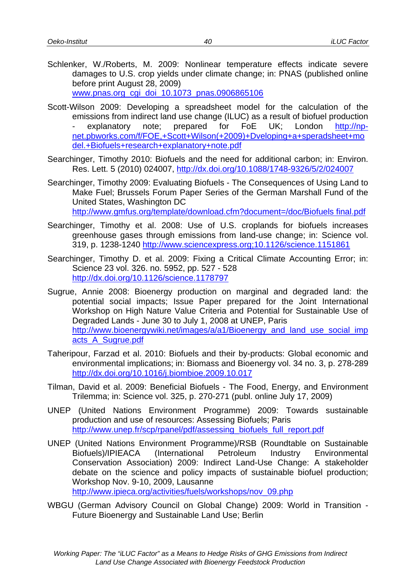- Schlenker, W./Roberts, M. 2009: Nonlinear temperature effects indicate severe damages to U.S. crop yields under climate change; in: PNAS (published online before print August 28, 2009) www.pnas.org\_cgi\_doi\_10.1073\_pnas.0906865106
- Scott-Wilson 2009: Developing a spreadsheet model for the calculation of the emissions from indirect land use change (ILUC) as a result of biofuel production explanatory note; prepared for FoE UK; London http://npnet.pbworks.com/f/FOE,+Scott+Wilson(+2009)+Dveloping+a+speradsheet+mo del.+Biofuels+research+explanatory+note.pdf
- Searchinger, Timothy 2010: Biofuels and the need for additional carbon; in: Environ. Res. Lett. 5 (2010) 024007, http://dx.doi.org/10.1088/1748-9326/5/2/024007
- Searchinger, Timothy 2009: Evaluating Biofuels The Consequences of Using Land to Make Fuel; Brussels Forum Paper Series of the German Marshall Fund of the United States, Washington DC http://www.gmfus.org/template/download.cfm?document=/doc/Biofuels final.pdf
- Searchinger, Timothy et al. 2008: Use of U.S. croplands for biofuels increases greenhouse gases through emissions from land-use change; in: Science vol. 319, p. 1238-1240 http://www.sciencexpress.org;10.1126/science.1151861
- Searchinger, Timothy D. et al. 2009: Fixing a Critical Climate Accounting Error; in: Science 23 vol. 326. no. 5952, pp. 527 - 528 http://dx.doi.org/10.1126/science.1178797
- Sugrue, Annie 2008: Bioenergy production on marginal and degraded land: the potential social impacts; Issue Paper prepared for the Joint International Workshop on High Nature Value Criteria and Potential for Sustainable Use of Degraded Lands - June 30 to July 1, 2008 at UNEP, Paris http://www.bioenergywiki.net/images/a/a1/Bioenergy\_and\_land\_use\_social\_imp acts\_A\_Sugrue.pdf
- Taheripour, Farzad et al. 2010: Biofuels and their by-products: Global economic and environmental implications; in: Biomass and Bioenergy vol. 34 no. 3, p. 278-289 http://dx.doi.org/10.1016/j.biombioe.2009.10.017
- Tilman, David et al. 2009: Beneficial Biofuels The Food, Energy, and Environment Trilemma; in: Science vol. 325, p. 270-271 (publ. online July 17, 2009)
- UNEP (United Nations Environment Programme) 2009: Towards sustainable production and use of resources: Assessing Biofuels; Paris http://www.unep.fr/scp/rpanel/pdf/assessing\_biofuels\_full\_report.pdf
- UNEP (United Nations Environment Programme)/RSB (Roundtable on Sustainable Biofuels)/IPIEACA (International Petroleum Industry Environmental Conservation Association) 2009: Indirect Land-Use Change: A stakeholder debate on the science and policy impacts of sustainable biofuel production; Workshop Nov. 9-10, 2009, Lausanne http://www.ipieca.org/activities/fuels/workshops/nov\_09.php
- WBGU (German Advisory Council on Global Change) 2009: World in Transition Future Bioenergy and Sustainable Land Use; Berlin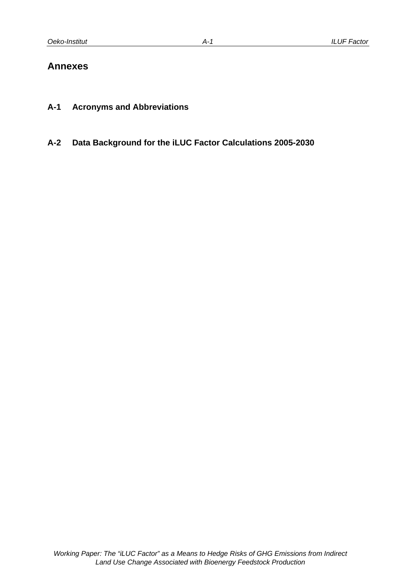## **Annexes**

- **A-1 Acronyms and Abbreviations**
- **A-2 Data Background for the iLUC Factor Calculations 2005-2030**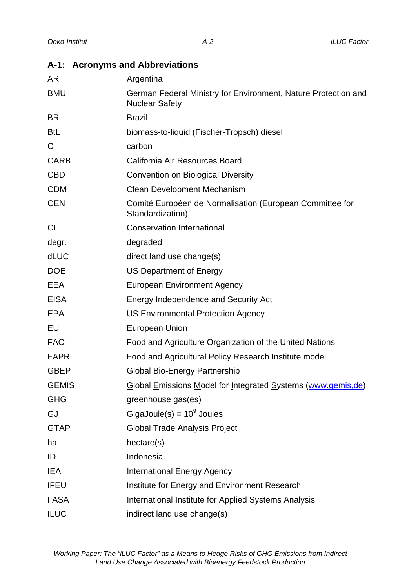# **A-1: Acronyms and Abbreviations**

| AR           | Argentina                                                                               |
|--------------|-----------------------------------------------------------------------------------------|
| <b>BMU</b>   | German Federal Ministry for Environment, Nature Protection and<br><b>Nuclear Safety</b> |
| <b>BR</b>    | <b>Brazil</b>                                                                           |
| <b>BtL</b>   | biomass-to-liquid (Fischer-Tropsch) diesel                                              |
| C            | carbon                                                                                  |
| <b>CARB</b>  | California Air Resources Board                                                          |
| <b>CBD</b>   | <b>Convention on Biological Diversity</b>                                               |
| <b>CDM</b>   | <b>Clean Development Mechanism</b>                                                      |
| <b>CEN</b>   | Comité Européen de Normalisation (European Committee for<br>Standardization)            |
| <b>CI</b>    | <b>Conservation International</b>                                                       |
| degr.        | degraded                                                                                |
| dLUC         | direct land use change(s)                                                               |
| <b>DOE</b>   | <b>US Department of Energy</b>                                                          |
| EEA          | <b>European Environment Agency</b>                                                      |
| <b>EISA</b>  | Energy Independence and Security Act                                                    |
| EPA          | <b>US Environmental Protection Agency</b>                                               |
| EU           | European Union                                                                          |
| <b>FAO</b>   | Food and Agriculture Organization of the United Nations                                 |
| <b>FAPRI</b> | Food and Agricultural Policy Research Institute model                                   |
| <b>GBEP</b>  | <b>Global Bio-Energy Partnership</b>                                                    |
| <b>GEMIS</b> | Global Emissions Model for Integrated Systems (www.gemis,de)                            |
| <b>GHG</b>   | greenhouse gas(es)                                                                      |
| GJ           | GigaJoule(s) = $10^9$ Joules                                                            |
| <b>GTAP</b>  | <b>Global Trade Analysis Project</b>                                                    |
| ha           | hectare(s)                                                                              |
| ID           | Indonesia                                                                               |
| <b>IEA</b>   | <b>International Energy Agency</b>                                                      |
| <b>IFEU</b>  | Institute for Energy and Environment Research                                           |
| <b>IIASA</b> | International Institute for Applied Systems Analysis                                    |
| <b>ILUC</b>  | indirect land use change(s)                                                             |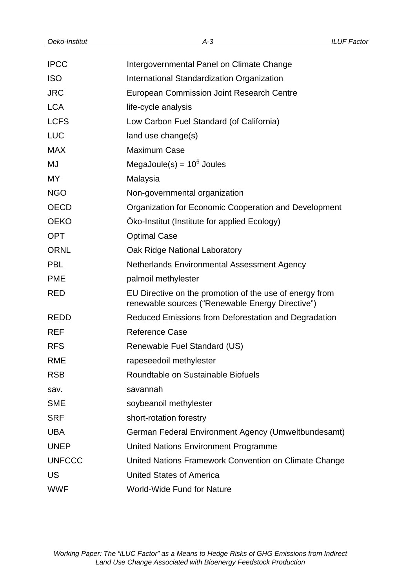| <b>IPCC</b>   | Intergovernmental Panel on Climate Change                                                                   |
|---------------|-------------------------------------------------------------------------------------------------------------|
| <b>ISO</b>    | International Standardization Organization                                                                  |
| <b>JRC</b>    | European Commission Joint Research Centre                                                                   |
| <b>LCA</b>    | life-cycle analysis                                                                                         |
| <b>LCFS</b>   | Low Carbon Fuel Standard (of California)                                                                    |
| <b>LUC</b>    | land use change(s)                                                                                          |
| <b>MAX</b>    | <b>Maximum Case</b>                                                                                         |
| MJ            | MegaJoule(s) = $10^6$ Joules                                                                                |
| MY            | Malaysia                                                                                                    |
| <b>NGO</b>    | Non-governmental organization                                                                               |
| <b>OECD</b>   | Organization for Economic Cooperation and Development                                                       |
| <b>OEKO</b>   | Öko-Institut (Institute for applied Ecology)                                                                |
| <b>OPT</b>    | <b>Optimal Case</b>                                                                                         |
| <b>ORNL</b>   | Oak Ridge National Laboratory                                                                               |
| <b>PBL</b>    | Netherlands Environmental Assessment Agency                                                                 |
| <b>PME</b>    | palmoil methylester                                                                                         |
| <b>RED</b>    | EU Directive on the promotion of the use of energy from<br>renewable sources ("Renewable Energy Directive") |
| <b>REDD</b>   | Reduced Emissions from Deforestation and Degradation                                                        |
| <b>REF</b>    | <b>Reference Case</b>                                                                                       |
| <b>RFS</b>    | Renewable Fuel Standard (US)                                                                                |
| <b>RME</b>    | rapeseedoil methylester                                                                                     |
| <b>RSB</b>    | Roundtable on Sustainable Biofuels                                                                          |
| sav.          | savannah                                                                                                    |
| <b>SME</b>    | soybeanoil methylester                                                                                      |
| <b>SRF</b>    | short-rotation forestry                                                                                     |
| <b>UBA</b>    | German Federal Environment Agency (Umweltbundesamt)                                                         |
| <b>UNEP</b>   | <b>United Nations Environment Programme</b>                                                                 |
| <b>UNFCCC</b> | United Nations Framework Convention on Climate Change                                                       |
| US            | <b>United States of America</b>                                                                             |
| <b>WWF</b>    | <b>World-Wide Fund for Nature</b>                                                                           |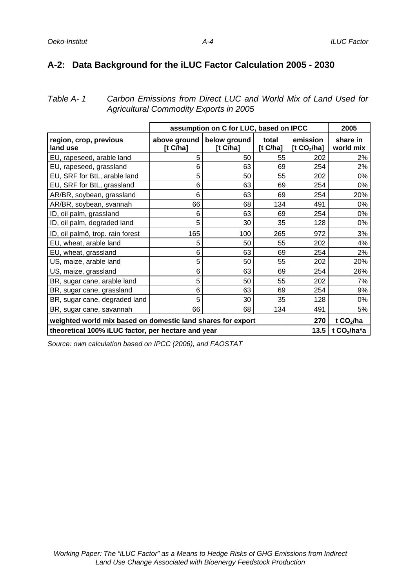## **A-2: Data Background for the iLUC Factor Calculation 2005 - 2030**

*Table A- 1 Carbon Emissions from Direct LUC and World Mix of Land Used for Agricultural Commodity Exports in 2005* 

|                                                             |                             | assumption on C for LUC, based on IPCC |                  |                           | 2005                  |
|-------------------------------------------------------------|-----------------------------|----------------------------------------|------------------|---------------------------|-----------------------|
| region, crop, previous<br>land use                          | above ground<br>[t $C/ha$ ] | below ground<br>[t $C/ha$ ]            | total<br>[t Cha] | emission<br>[t $CO2/ha$ ] | share in<br>world mix |
| EU, rapeseed, arable land                                   | 5                           | 50                                     | 55               | 202                       | 2%                    |
| EU, rapeseed, grassland                                     | 6                           | 63                                     | 69               | 254                       | 2%                    |
| EU, SRF for BtL, arable land                                | 5                           | 50                                     | 55               | 202                       | 0%                    |
| EU, SRF for BtL, grassland                                  | 6                           | 63                                     | 69               | 254                       | 0%                    |
| AR/BR, soybean, grassland                                   | 6                           | 63                                     | 69               | 254                       | 20%                   |
| AR/BR, soybean, svannah                                     | 66                          | 68                                     | 134              | 491                       | 0%                    |
| ID, oil palm, grassland                                     | 6                           | 63                                     | 69               | 254                       | 0%                    |
| ID, oil palm, degraded land                                 | 5                           | 30                                     | 35               | 128                       | 0%                    |
| ID, oil palmö, trop. rain forest                            | 165                         | 100                                    | 265              | 972                       | 3%                    |
| EU, wheat, arable land                                      | 5                           | 50                                     | 55               | 202                       | 4%                    |
| EU, wheat, grassland                                        | 6                           | 63                                     | 69               | 254                       | 2%                    |
| US, maize, arable land                                      | 5                           | 50                                     | 55               | 202                       | 20%                   |
| US, maize, grassland                                        | 6                           | 63                                     | 69               | 254                       | 26%                   |
| BR, sugar cane, arable land                                 | 5                           | 50                                     | 55               | 202                       | 7%                    |
| BR, sugar cane, grassland                                   | 6                           | 63                                     | 69               | 254                       | 9%                    |
| BR, sugar cane, degraded land                               | 5                           | 30                                     | 35               | 128                       | 0%                    |
| BR, sugar cane, savannah                                    | 66                          | 68                                     | 134              | 491                       | 5%                    |
| weighted world mix based on domestic land shares for export |                             |                                        |                  |                           | t $CO2/ha$            |
| theoretical 100% iLUC factor, per hectare and year          | 13.5                        | t $CO2/ha*a$                           |                  |                           |                       |

*Source: own calculation based on IPCC (2006), and FAOSTAT*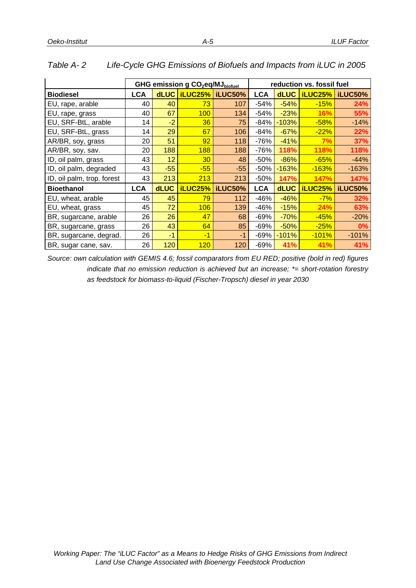|                            | GHG emission g CO <sub>2</sub> eq/MJ <sub>biofuel</sub> |             |                 |                   | reduction vs. fossil fuel |             |         |         |
|----------------------------|---------------------------------------------------------|-------------|-----------------|-------------------|---------------------------|-------------|---------|---------|
| <b>Biodiesel</b>           | LCA                                                     | dLUC        |                 | iLUC25%   iLUC50% | LCA                       | <b>dLUC</b> | iLUC25% | iLUC50% |
| EU, rape, arable           | 40                                                      | 40          | 73              | 107               | $-54%$                    | $-54%$      | $-15%$  | 24%     |
| EU, rape, grass            | 40                                                      | 67          | 100             | 134               | $-54%$                    | $-23%$      | 16%     | 55%     |
| EU, SRF-BtL, arable        | 14                                                      | $-2$        | 36              | 75                | $-84%$                    | $-103%$     | $-58%$  | $-14%$  |
| EU, SRF-BtL, grass         | 14                                                      | 29          | 67              | 106               | $-84%$                    | $-67%$      | $-22%$  | 22%     |
| AR/BR, soy, grass          | 20                                                      | 51          | 92              | 118               | -76%                      | $-41%$      | 7%      | 37%     |
| AR/BR, soy, sav.           | 20                                                      | 188         | 188             | 188               | $-76%$                    | 118%        | 118%    | 118%    |
| ID, oil palm, grass        | 43                                                      | 12          | 30 <sup>°</sup> | 48                | $-50%$                    | $-86%$      | $-65%$  | $-44%$  |
| ID, oil palm, degraded     | 43                                                      | $-55$       | $-55$           | $-55$             | $-50%$                    | $-163%$     | $-163%$ | $-163%$ |
| ID, oil palm, trop. forest | 43                                                      | 213         | 213             | 213               | $-50%$                    | 147%        | 147%    | 147%    |
| <b>Bioethanol</b>          | <b>LCA</b>                                              | <b>dLUC</b> | <b>iLUC25%</b>  | iLUC50%           | <b>LCA</b>                | <b>dLUC</b> | iLUC25% | iLUC50% |
| EU, wheat, arable          | 45                                                      | 45          | 79              | 112               | $-46%$                    | $-46%$      | $-7%$   | 32%     |
| EU, wheat, grass           | 45                                                      | 72          | 106             | 139               | -46%                      | $-15%$      | 24%     | 63%     |
| BR, sugarcane, arable      | 26                                                      | 26          | 47              | 68                | -69%                      | $-70%$      | $-45%$  | $-20%$  |
| BR, sugarcane, grass       | 26                                                      | 43          | 64              | 85                | -69%                      | $-50%$      | $-25%$  | 0%      |
| BR, sugarcane, degrad.     | 26                                                      | $-1$        | $-1$            | -1                | -69%                      | $-101%$     | $-101%$ | $-101%$ |
| BR, sugar cane, sav.       | 26                                                      | 120         | 120             | 120               | $-69%$                    | 41%         | 41%     | 41%     |

|  | Table A-2 | Life-Cycle GHG Emissions of Biofuels and Impacts from iLUC in 2005 |
|--|-----------|--------------------------------------------------------------------|
|--|-----------|--------------------------------------------------------------------|

*Source: own calculation with GEMIS 4.6; fossil comparators from EU RED; positive (bold in red) figures indicate that no emission reduction is achieved but an increase; \*= short-rotation forestry as feedstock for biomass-to-liquid (Fischer-Tropsch) diesel in year 2030* 

*A-5*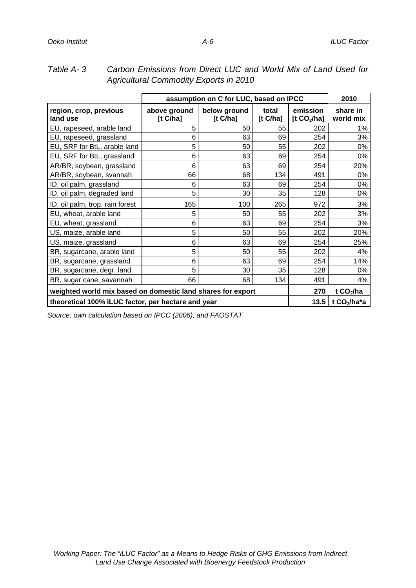| Agricultural Commodity Exports in 2010                      |                         |                                        |                      |                           |                       |  |  |
|-------------------------------------------------------------|-------------------------|----------------------------------------|----------------------|---------------------------|-----------------------|--|--|
|                                                             |                         | assumption on C for LUC, based on IPCC |                      |                           | 2010                  |  |  |
| region, crop, previous<br>land use                          | above ground<br>[t Cha] | below ground<br>[t $C/ha$ ]            | total<br>[t $C/ha$ ] | emission<br>[t $CO2/ha$ ] | share in<br>world mix |  |  |
| EU, rapeseed, arable land                                   | 5                       | 50                                     | 55                   | 202                       | 1%                    |  |  |
| EU, rapeseed, grassland                                     | 6                       | 63                                     | 69                   | 254                       | 3%                    |  |  |
| EU, SRF for BtL, arable land                                | 5                       | 50                                     | 55                   | 202                       | 0%                    |  |  |
| EU, SRF for BtL, grassland                                  | 6                       | 63                                     | 69                   | 254                       | 0%                    |  |  |
| AR/BR, soybean, grassland                                   | 6                       | 63                                     | 69                   | 254                       | 20%                   |  |  |
| AR/BR, soybean, svannah                                     | 66                      | 68                                     | 134                  | 491                       | 0%                    |  |  |
| ID, oil palm, grassland                                     | 6                       | 63                                     | 69                   | 254                       | 0%                    |  |  |
| ID, oil palm, degraded land                                 | 5                       | 30                                     | 35                   | 128                       | 0%                    |  |  |
| ID, oil palm, trop. rain forest                             | 165                     | 100                                    | 265                  | 972                       | 3%                    |  |  |
| EU, wheat, arable land                                      | 5                       | 50                                     | 55                   | 202                       | 3%                    |  |  |
| EU, wheat, grassland                                        | 6                       | 63                                     | 69                   | 254                       | 3%                    |  |  |
| US, maize, arable land                                      | 5                       | 50                                     | 55                   | 202                       | 20%                   |  |  |
| US, maize, grassland                                        | 6                       | 63                                     | 69                   | 254                       | 25%                   |  |  |
| BR, sugarcane, arable land                                  | 5                       | 50                                     | 55                   | 202                       | 4%                    |  |  |
| BR, sugarcane, grassland                                    | 6                       | 63                                     | 69                   | 254                       | 14%                   |  |  |
| BR, sugarcane, degr. land                                   | 5                       | 30                                     | 35                   | 128                       | 0%                    |  |  |
| BR, sugar cane, savannah                                    | 66                      | 68                                     | 134                  | 491                       | 4%                    |  |  |
| weighted world mix based on domestic land shares for export |                         | 270                                    | t $CO2/ha$           |                           |                       |  |  |
| theoretical 100% iLUC factor, per hectare and year          |                         |                                        |                      |                           | t $CO2/ha*a$          |  |  |

*Table A- 3 Carbon Emissions from Direct LUC and World Mix of Land Used for Agricultural Commodity Exports in 2010* 

*Source: own calculation based on IPCC (2006), and FAOSTAT*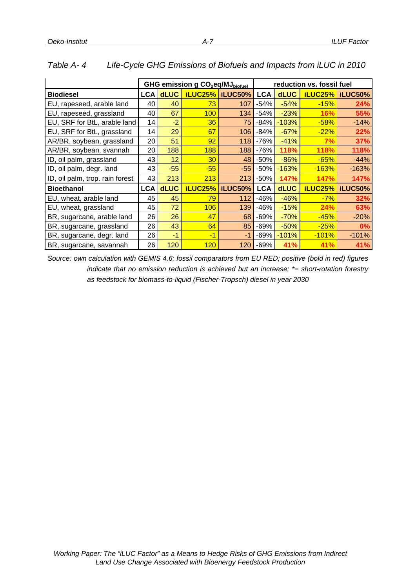|                                 |            | GHG emission g CO <sub>2</sub> eq/MJ <sub>biofuel</sub> |         |                   |            | reduction vs. fossil fuel |                |                 |
|---------------------------------|------------|---------------------------------------------------------|---------|-------------------|------------|---------------------------|----------------|-----------------|
| <b>Biodiesel</b>                | <b>LCA</b> | <b>dLUC</b>                                             |         | iLUC25%   iLUC50% | <b>LCA</b> | <b>dLUC</b>               |                | iLUC25% iLUC50% |
| EU, rapeseed, arable land       | 40         | 40                                                      | 73      | 107               | $-54%$     | $-54%$                    | $-15%$         | 24%             |
| EU, rapeseed, grassland         | 40         | 67                                                      | 100     | 134               | $-54%$     | $-23%$                    | 16%            | 55%             |
| EU, SRF for BtL, arable land    | 14         | $-2$                                                    | 36      | 75                | $-84%$     | $-103%$                   | $-58%$         | $-14%$          |
| EU, SRF for BtL, grassland      | 14         | 29                                                      | 67      | 106               | $-84%$     | $-67%$                    | $-22%$         | 22%             |
| AR/BR, soybean, grassland       | 20         | 51                                                      | 92      | 118               | $-76%$     | $-41%$                    | 7%             | 37%             |
| AR/BR, soybean, svannah         | 20         | 188                                                     | 188     | 188               | $-76%$     | 118%                      | 118%           | 118%            |
| ID, oil palm, grassland         | 43         | 12                                                      | 30      | 48                | $-50%$     | $-86%$                    | $-65%$         | $-44%$          |
| ID, oil palm, degr. land        | 43         | $-55$                                                   | $-55$   | $-55$             | $-50%$     | $-163%$                   | $-163%$        | $-163%$         |
| ID, oil palm, trop. rain forest | 43         | 213                                                     | 213     | 213               | $-50%$     | 147%                      | 147%           | 147%            |
| <b>Bioethanol</b>               | <b>LCA</b> | <b>dLUC</b>                                             | iLUC25% | iLUC50%           | <b>LCA</b> | <b>dLUC</b>               | <b>iLUC25%</b> | iLUC50%         |
| EU, wheat, arable land          | 45         | 45                                                      | 79      | 112               | -46%       | $-46%$                    | $-7%$          | 32%             |
| EU, wheat, grassland            | 45         | 72                                                      | 106     | 139               | $-46%$     | $-15%$                    | 24%            | 63%             |
| BR, sugarcane, arable land      | 26         | 26                                                      | 47      | 68                | $-69%$     | $-70%$                    | $-45%$         | $-20%$          |
| BR, sugarcane, grassland        | 26         | 43                                                      | 64      | 85                | $-69%$     | $-50%$                    | $-25%$         | $0\%$           |
| BR, sugarcane, degr. land       | 26         | $-1$                                                    | -1      | $-1$              | $-69%$     | $-101%$                   | $-101%$        | $-101%$         |
| BR, sugarcane, savannah         | 26         | 120                                                     | 120     | 120               | $-69%$     | 41%                       | 41%            | 41%             |

#### *Table A- 4 Life-Cycle GHG Emissions of Biofuels and Impacts from iLUC in 2010*

*Source: own calculation with GEMIS 4.6; fossil comparators from EU RED; positive (bold in red) figures indicate that no emission reduction is achieved but an increase; \*= short-rotation forestry as feedstock for biomass-to-liquid (Fischer-Tropsch) diesel in year 2030*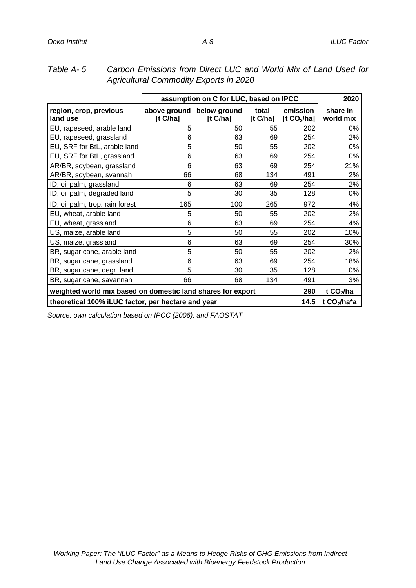| Agricultural Commodity Exports in 2020                      |         |                                        |                  |                           |                       |  |
|-------------------------------------------------------------|---------|----------------------------------------|------------------|---------------------------|-----------------------|--|
|                                                             |         | assumption on C for LUC, based on IPCC |                  |                           | 2020                  |  |
| region, crop, previous<br>land use                          | [t Cha] | above ground below ground<br>[t Cha]   | total<br>[t Cha] | emission<br>[t $CO2/ha$ ] | share in<br>world mix |  |
| EU, rapeseed, arable land                                   | 5       | 50                                     | 55               | 202                       | 0%                    |  |
| EU, rapeseed, grassland                                     | 6       | 63                                     | 69               | 254                       | 2%                    |  |
| EU, SRF for BtL, arable land                                | 5       | 50                                     | 55               | 202                       | 0%                    |  |
| EU, SRF for BtL, grassland                                  | 6       | 63                                     | 69               | 254                       | 0%                    |  |
| AR/BR, soybean, grassland                                   | 6       | 63                                     | 69               | 254                       | 21%                   |  |
| AR/BR, soybean, svannah                                     | 66      | 68                                     | 134              | 491                       | 2%                    |  |
| ID, oil palm, grassland                                     | 6       | 63                                     | 69               | 254                       | 2%                    |  |
| ID, oil palm, degraded land                                 | 5       | 30                                     | 35               | 128                       | 0%                    |  |
| ID, oil palm, trop. rain forest                             | 165     | 100                                    | 265              | 972                       | 4%                    |  |
| EU, wheat, arable land                                      | 5       | 50                                     | 55               | 202                       | 2%                    |  |
| EU, wheat, grassland                                        | 6       | 63                                     | 69               | 254                       | 4%                    |  |
| US, maize, arable land                                      | 5       | 50                                     | 55               | 202                       | 10%                   |  |
| US, maize, grassland                                        | 6       | 63                                     | 69               | 254                       | 30%                   |  |
| BR, sugar cane, arable land                                 | 5       | 50                                     | 55               | 202                       | 2%                    |  |
| BR, sugar cane, grassland                                   | 6       | 63                                     | 69               | 254                       | 18%                   |  |
| BR, sugar cane, degr. land                                  | 5       | 30                                     | 35               | 128                       | 0%                    |  |
| BR, sugar cane, savannah                                    | 66      | 68                                     | 134              | 491                       | 3%                    |  |
| weighted world mix based on domestic land shares for export | 290     | t $CO2/ha$                             |                  |                           |                       |  |
| theoretical 100% iLUC factor, per hectare and year          | 14.5    | t CO <sub>2</sub> /ha*a                |                  |                           |                       |  |

| Table A-5 | Carbon Emissions from Direct LUC and World Mix of Land Used for |
|-----------|-----------------------------------------------------------------|
|           | <b>Agricultural Commodity Exports in 2020</b>                   |

*Source: own calculation based on IPCC (2006), and FAOSTAT*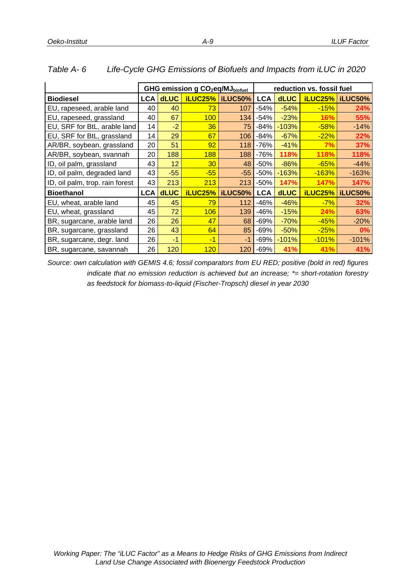|                                 | GHG emission g CO <sub>2</sub> eq/MJ <sub>biofuel</sub> |             |                |                 |            |             | reduction vs. fossil fuel |                |
|---------------------------------|---------------------------------------------------------|-------------|----------------|-----------------|------------|-------------|---------------------------|----------------|
| <b>Biodiesel</b>                | <b>LCA</b>                                              | <b>dLUC</b> |                | iLUC25% iLUC50% | <b>LCA</b> | <b>dLUC</b> | <b>iLUC25%</b>            | <b>iLUC50%</b> |
| EU, rapeseed, arable land       | 40                                                      | 40          | 73             | 107             | -54%       | $-54%$      | $-15%$                    | 24%            |
| EU, rapeseed, grassland         | 40                                                      | 67          | 100            | 134             | $-54%$     | $-23%$      | 16%                       | 55%            |
| EU, SRF for BtL, arable land    | 14                                                      | $-2$        | 36             | 75              | $-84%$     | $-103%$     | $-58%$                    | $-14%$         |
| EU, SRF for BtL, grassland      | 14                                                      | 29          | 67             | 106             | $-84%$     | $-67%$      | $-22%$                    | 22%            |
| AR/BR, soybean, grassland       | 20                                                      | 51          | 92             | 118             | $-76%$     | $-41%$      | 7%                        | 37%            |
| AR/BR, soybean, svannah         | 20                                                      | 188         | 188            | 188             | $-76%$     | 118%        | 118%                      | 118%           |
| ID, oil palm, grassland         | 43                                                      | 12          | 30             | 48              | $-50%$     | $-86%$      | $-65%$                    | $-44%$         |
| ID, oil palm, degraded land     | 43                                                      | $-55$       | $-55$          | $-55$           | $-50%$     | $-163%$     | $-163%$                   | $-163%$        |
| ID, oil palm, trop. rain forest | 43                                                      | 213         | 213            | 213             | $-50%$     | 147%        | 147%                      | 147%           |
| <b>Bioethanol</b>               | <b>LCA</b>                                              | <b>dLUC</b> | <b>iLUC25%</b> | iLUC50%         | <b>LCA</b> | <b>dLUC</b> | <b>iLUC25%</b>            | iLUC50%        |
| EU, wheat, arable land          | 45                                                      | 45          | 79             | 112             | -46%       | $-46%$      | $-7%$                     | 32%            |
| EU, wheat, grassland            | 45                                                      | 72          | 106            | 139             | -46%       | $-15%$      | 24%                       | 63%            |
| BR, sugarcane, arable land      | 26                                                      | 26          | 47             | 68              | $-69%$     | $-70%$      | $-45%$                    | $-20%$         |
| BR, sugarcane, grassland        | 26                                                      | 43          | 64             | 85              | $-69%$     | $-50%$      | $-25%$                    | $0\%$          |
| BR, sugarcane, degr. land       | 26                                                      | $-1$        | -1             | $-1$            | $-69%$     | $-101%$     | $-101%$                   | $-101%$        |
| BR, sugarcane, savannah         | 26                                                      | 120         | 120            | 120             | $-69%$     | 41%         | 41%                       | 41%            |

#### *Table A- 6 Life-Cycle GHG Emissions of Biofuels and Impacts from iLUC in 2020*

*Source: own calculation with GEMIS 4.6; fossil comparators from EU RED; positive (bold in red) figures indicate that no emission reduction is achieved but an increase; \*= short-rotation forestry as feedstock for biomass-to-liquid (Fischer-Tropsch) diesel in year 2030*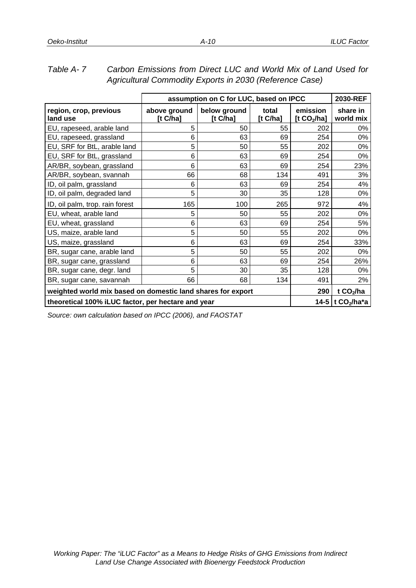|                                                             |                          | assumption on C for LUC, based on IPCC |                  |                           | 2030-REF                     |
|-------------------------------------------------------------|--------------------------|----------------------------------------|------------------|---------------------------|------------------------------|
| region, crop, previous<br>land use                          | above ground<br>[t C/ha] | below ground<br>[t $C/ha$ ]            | total<br>[t Cha] | emission<br>[t $CO2/ha$ ] | share in<br>world mix        |
| EU, rapeseed, arable land                                   | 5                        | 50                                     | 55               | 202                       | 0%                           |
| EU, rapeseed, grassland                                     | 6                        | 63                                     | 69               | 254                       | 0%                           |
| EU, SRF for BtL, arable land                                | 5                        | 50                                     | 55               | 202                       | 0%                           |
| EU, SRF for BtL, grassland                                  | 6                        | 63                                     | 69               | 254                       | 0%                           |
| AR/BR, soybean, grassland                                   | 6                        | 63                                     | 69               | 254                       | 23%                          |
| AR/BR, soybean, svannah                                     | 66                       | 68                                     | 134              | 491                       | 3%                           |
| ID, oil palm, grassland                                     | 6                        | 63                                     | 69               | 254                       | 4%                           |
| ID, oil palm, degraded land                                 | 5                        | 30                                     | 35               | 128                       | 0%                           |
| ID, oil palm, trop. rain forest                             | 165                      | 100                                    | 265              | 972                       | 4%                           |
| EU, wheat, arable land                                      | 5                        | 50                                     | 55               | 202                       | 0%                           |
| EU, wheat, grassland                                        | 6                        | 63                                     | 69               | 254                       | 5%                           |
| US, maize, arable land                                      | 5                        | 50                                     | 55               | 202                       | 0%                           |
| US, maize, grassland                                        | 6                        | 63                                     | 69               | 254                       | 33%                          |
| BR, sugar cane, arable land                                 | 5                        | 50                                     | 55               | 202                       | 0%                           |
| BR, sugar cane, grassland                                   | 6                        | 63                                     | 69               | 254                       | 26%                          |
| BR, sugar cane, degr. land                                  | 5                        | 30                                     | 35               | 128                       | 0%                           |
| BR, sugar cane, savannah                                    | 66                       | 68                                     | 134              | 491                       | 2%                           |
| weighted world mix based on domestic land shares for export | 290                      | t $CO2/ha$                             |                  |                           |                              |
| theoretical 100% iLUC factor, per hectare and year          |                          |                                        |                  |                           | 14-5 t CO <sub>2</sub> /ha*a |

## *Table A- 7 Carbon Emissions from Direct LUC and World Mix of Land Used for Agricultural Commodity Exports in 2030 (Reference Case)*

*Source: own calculation based on IPCC (2006), and FAOSTAT*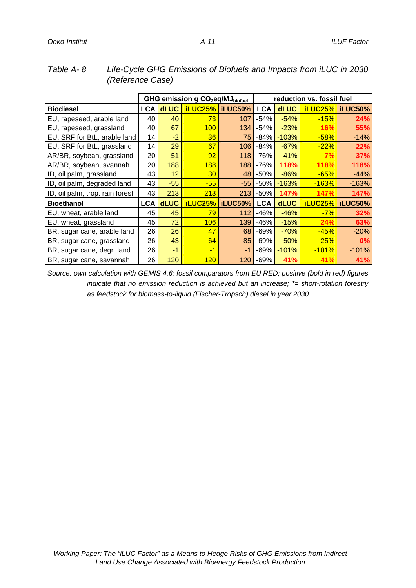|                                 | GHG emission g CO <sub>2</sub> eq/MJ <sub>biofuel</sub> |             |                |                 | reduction vs. fossil fuel |             |                |                          |
|---------------------------------|---------------------------------------------------------|-------------|----------------|-----------------|---------------------------|-------------|----------------|--------------------------|
| <b>Biodiesel</b>                | <b>LCA</b>                                              | <b>dLUC</b> |                | iLUC25% iLUC50% | <b>LCA</b>                | <b>dLUC</b> |                | <b>iLUC25%   iLUC50%</b> |
| EU, rapeseed, arable land       | 40                                                      | 40          | 73             | 107             | $-54%$                    | $-54%$      | $-15%$         | 24%                      |
| EU, rapeseed, grassland         | 40                                                      | 67          | 100            | 134             | $-54%$                    | $-23%$      | <b>16%</b>     | 55%                      |
| EU, SRF for BtL, arable land    | 14                                                      | $-2$        | 36             | 75              | $-84%$                    | $-103%$     | $-58%$         | $-14%$                   |
| EU, SRF for BtL, grassland      | 14                                                      | 29          | 67             | 106             | $-84%$                    | $-67%$      | $-22%$         | 22%                      |
| AR/BR, soybean, grassland       | 20                                                      | 51          | 92             | 118             | $-76%$                    | $-41%$      | 7%             | 37%                      |
| AR/BR, soybean, svannah         | 20                                                      | 188         | 188            | 188             | $-76%$                    | 118%        | 118%           | 118%                     |
| ID, oil palm, grassland         | 43                                                      | 12          | 30             | 48              | $-50%$                    | $-86%$      | $-65%$         | $-44%$                   |
| ID, oil palm, degraded land     | 43                                                      | $-55$       | $-55$          | $-55$           | $-50%$                    | $-163%$     | $-163%$        | $-163%$                  |
| ID, oil palm, trop. rain forest | 43                                                      | 213         | 213            | 213             | $-50%$                    | 147%        | 147%           | 147%                     |
| <b>Bioethanol</b>               | <b>LCA</b>                                              | <b>dLUC</b> | <b>iLUC25%</b> | iLUC50%         | <b>LCA</b>                | <b>dLUC</b> | <b>iLUC25%</b> | iLUC50%                  |
| EU, wheat, arable land          | 45                                                      | 45          | 79             | 112             | $-46%$                    | $-46%$      | $-7%$          | 32%                      |
| EU, wheat, grassland            | 45                                                      | 72          | 106            | 139             | $-46%$                    | $-15%$      | 24%            | 63%                      |
| BR, sugar cane, arable land     | 26                                                      | 26          | 47             | 68              | $-69%$                    | $-70%$      | $-45%$         | $-20%$                   |
| BR, sugar cane, grassland       | 26                                                      | 43          | 64             | 85              | $-69%$                    | $-50%$      | $-25%$         | $0\%$                    |
| BR, sugar cane, degr. land      | 26                                                      | $-1$        | $-1$           | $-1$            | $-69%$                    | $-101%$     | $-101%$        | $-101%$                  |
| BR, sugar cane, savannah        | 26                                                      | 120         | 120            | 120             | $-69%$                    | 41%         | 41%            | 41%                      |

## *Table A- 8 Life-Cycle GHG Emissions of Biofuels and Impacts from iLUC in 2030 (Reference Case)*

*A-11*

*Source: own calculation with GEMIS 4.6; fossil comparators from EU RED; positive (bold in red) figures indicate that no emission reduction is achieved but an increase; \*= short-rotation forestry as feedstock for biomass-to-liquid (Fischer-Tropsch) diesel in year 2030*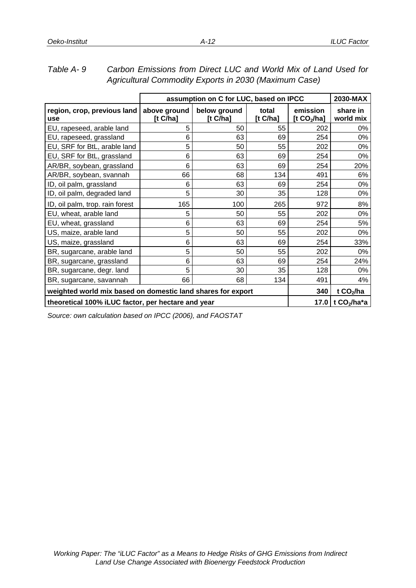|                                                             |                         | assumption on C for LUC, based on IPCC |                  |                           | 2030-MAX                |
|-------------------------------------------------------------|-------------------------|----------------------------------------|------------------|---------------------------|-------------------------|
| region, crop, previous land<br>use                          | above ground<br>[t Cha] | below ground<br>[t $C/ha$ ]            | total<br>[t Cha] | emission<br>[t $CO2/ha$ ] | share in<br>world mix   |
| EU, rapeseed, arable land                                   | 5                       | 50                                     | 55               | 202                       | 0%                      |
| EU, rapeseed, grassland                                     | 6                       | 63                                     | 69               | 254                       | 0%                      |
| EU, SRF for BtL, arable land                                | 5                       | 50                                     | 55               | 202                       | 0%                      |
| EU, SRF for BtL, grassland                                  | 6                       | 63                                     | 69               | 254                       | 0%                      |
| AR/BR, soybean, grassland                                   | 6                       | 63                                     | 69               | 254                       | 20%                     |
| AR/BR, soybean, svannah                                     | 66                      | 68                                     | 134              | 491                       | 6%                      |
| ID, oil palm, grassland                                     | 6                       | 63                                     | 69               | 254                       | 0%                      |
| ID, oil palm, degraded land                                 | 5                       | 30                                     | 35               | 128                       | 0%                      |
| ID, oil palm, trop. rain forest                             | 165                     | 100                                    | 265              | 972                       | 8%                      |
| EU, wheat, arable land                                      | 5                       | 50                                     | 55               | 202                       | 0%                      |
| EU, wheat, grassland                                        | 6                       | 63                                     | 69               | 254                       | 5%                      |
| US, maize, arable land                                      | 5                       | 50                                     | 55               | 202                       | 0%                      |
| US, maize, grassland                                        | 6                       | 63                                     | 69               | 254                       | 33%                     |
| BR, sugarcane, arable land                                  | 5                       | 50                                     | 55               | 202                       | 0%                      |
| BR, sugarcane, grassland                                    | 6                       | 63                                     | 69               | 254                       | 24%                     |
| BR, sugarcane, degr. land                                   | 5                       | 30                                     | 35               | 128                       | 0%                      |
| BR, sugarcane, savannah                                     | 66                      | 68                                     | 134              | 491                       | 4%                      |
| weighted world mix based on domestic land shares for export | 340                     | t $CO2/ha$                             |                  |                           |                         |
| theoretical 100% iLUC factor, per hectare and year          |                         |                                        |                  | 17.0                      | t CO <sub>2</sub> /ha*a |

*Table A- 9 Carbon Emissions from Direct LUC and World Mix of Land Used for Agricultural Commodity Exports in 2030 (Maximum Case)* 

*Source: own calculation based on IPCC (2006), and FAOSTAT*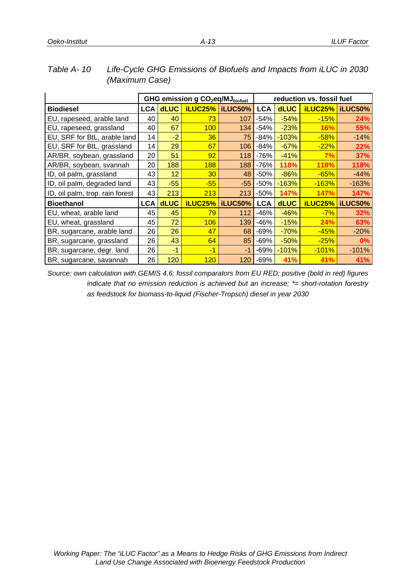|                                 | GHG emission g CO <sub>2</sub> eq/MJ <sub>biofuel</sub> |             |                |                 | reduction vs. fossil fuel |             |                |                |
|---------------------------------|---------------------------------------------------------|-------------|----------------|-----------------|---------------------------|-------------|----------------|----------------|
| <b>Biodiesel</b>                | <b>LCA</b>                                              | <b>dLUC</b> |                | iLUC25% iLUC50% | <b>LCA</b>                | <b>dLUC</b> | <b>iLUC25%</b> | iLUC50%        |
| EU, rapeseed, arable land       | 40                                                      | 40          | 73             | 107             | $-54%$                    | $-54%$      | $-15%$         | 24%            |
| EU, rapeseed, grassland         | 40                                                      | 67          | 100            | 134             | $-54%$                    | $-23%$      | 16%            | 55%            |
| EU, SRF for BtL, arable land    | 14                                                      | $-2$        | 36             | 75              | $-84%$                    | $-103%$     | $-58%$         | $-14%$         |
| EU, SRF for BtL, grassland      | 14                                                      | 29          | 67             | 106             | $-84%$                    | $-67%$      | $-22%$         | 22%            |
| AR/BR, soybean, grassland       | 20                                                      | 51          | 92             | 118             | $-76%$                    | $-41%$      | 7%             | 37%            |
| AR/BR, soybean, svannah         | 20                                                      | 188         | 188            | 188             | $-76%$                    | 118%        | 118%           | 118%           |
| ID, oil palm, grassland         | 43                                                      | 12          | 30             | 48              | $-50%$                    | $-86%$      | $-65%$         | $-44%$         |
| ID, oil palm, degraded land     | 43                                                      | $-55$       | $-55$          | $-55$           | $-50%$                    | $-163%$     | $-163%$        | $-163%$        |
| ID, oil palm, trop. rain forest | 43                                                      | 213         | 213            | 213             | $-50%$                    | 147%        | 147%           | 147%           |
| <b>Bioethanol</b>               | <b>LCA</b>                                              | <b>dLUC</b> | <b>iLUC25%</b> | <b>iLUC50%</b>  | <b>LCA</b>                | <b>dLUC</b> | <b>iLUC25%</b> | <b>iLUC50%</b> |
| EU, wheat, arable land          | 45                                                      | 45          | 79             | 112             | $-46%$                    | $-46%$      | $-7%$          | 32%            |
| EU, wheat, grassland            | 45                                                      | 72          | 106            | 139             | $-46%$                    | $-15%$      | 24%            | 63%            |
| BR, sugarcane, arable land      | 26                                                      | 26          | 47             | 68              | $-69%$                    | $-70%$      | $-45%$         | $-20%$         |
| BR, sugarcane, grassland        | 26                                                      | 43          | 64             | 85              | $-69%$                    | $-50%$      | $-25%$         | $0\%$          |
| BR, sugarcane, degr. land       | 26                                                      | $-1$        | $-1$           | -1              | $-69%$                    | $-101%$     | $-101%$        | $-101%$        |
| BR, sugarcane, savannah         | 26                                                      | 120         | 120            | 120             | $-69%$                    | 41%         | 41%            | 41%            |

## *Table A- 10 Life-Cycle GHG Emissions of Biofuels and Impacts from iLUC in 2030 (Maximum Case)*

*Source: own calculation with GEMIS 4.6; fossil comparators from EU RED; positive (bold in red) figures indicate that no emission reduction is achieved but an increase; \*= short-rotation forestry as feedstock for biomass-to-liquid (Fischer-Tropsch) diesel in year 2030*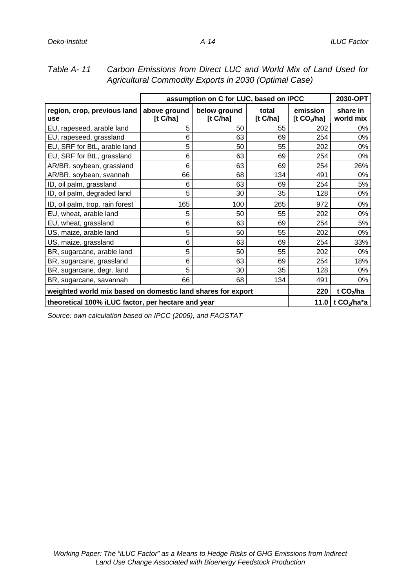|                                                             |                             | assumption on C for LUC, based on IPCC |                  |                           | 2030-OPT              |
|-------------------------------------------------------------|-----------------------------|----------------------------------------|------------------|---------------------------|-----------------------|
| region, crop, previous land<br>use                          | above ground<br>[t $C/ha$ ] | below ground<br>[t $C/ha$ ]            | total<br>[t Cha] | emission<br>[t $CO2/ha$ ] | share in<br>world mix |
| EU, rapeseed, arable land                                   | 5                           | 50                                     | 55               | 202                       | 0%                    |
| EU, rapeseed, grassland                                     | 6                           | 63                                     | 69               | 254                       | 0%                    |
| EU, SRF for BtL, arable land                                | 5                           | 50                                     | 55               | 202                       | 0%                    |
| EU, SRF for BtL, grassland                                  | 6                           | 63                                     | 69               | 254                       | 0%                    |
| AR/BR, soybean, grassland                                   | 6                           | 63                                     | 69               | 254                       | 26%                   |
| AR/BR, soybean, svannah                                     | 66                          | 68                                     | 134              | 491                       | 0%                    |
| ID, oil palm, grassland                                     | 6                           | 63                                     | 69               | 254                       | 5%                    |
| ID, oil palm, degraded land                                 | 5                           | 30                                     | 35               | 128                       | 0%                    |
| ID, oil palm, trop. rain forest                             | 165                         | 100                                    | 265              | 972                       | 0%                    |
| EU, wheat, arable land                                      | 5                           | 50                                     | 55               | 202                       | 0%                    |
| EU, wheat, grassland                                        | 6                           | 63                                     | 69               | 254                       | 5%                    |
| US, maize, arable land                                      | 5                           | 50                                     | 55               | 202                       | 0%                    |
| US, maize, grassland                                        | 6                           | 63                                     | 69               | 254                       | 33%                   |
| BR, sugarcane, arable land                                  | 5                           | 50                                     | 55               | 202                       | 0%                    |
| BR, sugarcane, grassland                                    | 6                           | 63                                     | 69               | 254                       | 18%                   |
| BR, sugarcane, degr. land                                   | 5                           | 30                                     | 35               | 128                       | 0%                    |
| BR, sugarcane, savannah                                     | 66                          | 68                                     | 134              | 491                       | 0%                    |
| weighted world mix based on domestic land shares for export | 220                         | t $CO2/ha$                             |                  |                           |                       |
| theoretical 100% iLUC factor, per hectare and year          |                             |                                        |                  |                           | 11.0 t $CO_2/ha^*a$   |

## *Table A- 11 Carbon Emissions from Direct LUC and World Mix of Land Used for Agricultural Commodity Exports in 2030 (Optimal Case)*

*Source: own calculation based on IPCC (2006), and FAOSTAT*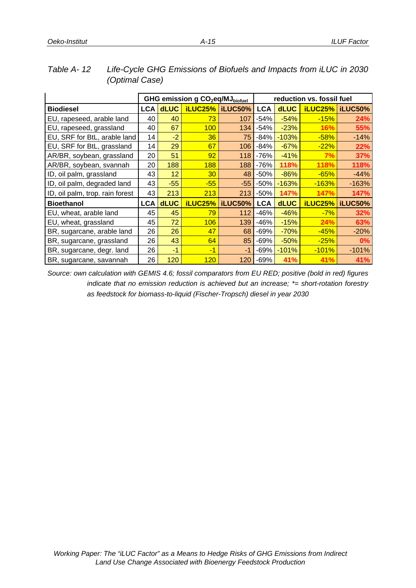|                                 | GHG emission g CO <sub>2</sub> eq/MJ <sub>biofuel</sub> |             |                |                |            |             | reduction vs. fossil fuel |                 |
|---------------------------------|---------------------------------------------------------|-------------|----------------|----------------|------------|-------------|---------------------------|-----------------|
| <b>Biodiesel</b>                | LCA                                                     | <b>dLUC</b> | <b>iLUC25%</b> | iLUC50%        | <b>LCA</b> | <b>dLUC</b> |                           | iLUC25% iLUC50% |
| EU, rapeseed, arable land       | 40                                                      | 40          | 73             | 107            | $-54%$     | $-54%$      | $-15%$                    | 24%             |
| EU, rapeseed, grassland         | 40                                                      | 67          | 100            | 134            | $-54%$     | $-23%$      | 16%                       | 55%             |
| EU, SRF for BtL, arable land    | 14                                                      | $-2$        | 36             | 75             | $-84%$     | $-103%$     | $-58%$                    | $-14%$          |
| EU, SRF for BtL, grassland      | 14                                                      | 29          | 67             | 106            | $-84%$     | $-67%$      | $-22%$                    | 22%             |
| AR/BR, soybean, grassland       | 20                                                      | 51          | 92             | 118            | $-76%$     | $-41%$      | 7%                        | 37%             |
| AR/BR, soybean, svannah         | 20                                                      | 188         | 188            | 188            | $-76%$     | 118%        | 118%                      | 118%            |
| ID, oil palm, grassland         | 43                                                      | 12          | 30             | 48             | $-50%$     | $-86%$      | $-65%$                    | $-44%$          |
| ID, oil palm, degraded land     | 43                                                      | $-55$       | $-55$          | $-55$          | $-50%$     | $-163%$     | $-163%$                   | $-163%$         |
| ID, oil palm, trop. rain forest | 43                                                      | 213         | 213            | 213            | $-50%$     | 147%        | 147%                      | 147%            |
| <b>Bioethanol</b>               | <b>LCA</b>                                              | <b>dLUC</b> | iLUC25%        | <b>iLUC50%</b> | <b>LCA</b> | <b>dLUC</b> | <b>iLUC25%</b>            | iLUC50%         |
| EU, wheat, arable land          | 45                                                      | 45          | 79             | 112            | -46%       | $-46%$      | $-7%$                     | 32%             |
| EU, wheat, grassland            | 45                                                      | 72          | 106            | 139            | $-46%$     | $-15%$      | 24%                       | 63%             |
| BR, sugarcane, arable land      | 26                                                      | 26          | 47             | 68             | $-69%$     | $-70%$      | $-45%$                    | $-20%$          |
| BR, sugarcane, grassland        | 26                                                      | 43          | 64             | 85             | $-69%$     | $-50%$      | $-25%$                    | 0%              |
| BR, sugarcane, degr. land       | 26                                                      | $-1$        | -1             | -1             | $-69%$     | $-101%$     | $-101%$                   | $-101%$         |
| BR, sugarcane, savannah         | 26                                                      | 120         | 120            | 120            | $-69%$     | 41%         | 41%                       | 41%             |

### *Table A- 12 Life-Cycle GHG Emissions of Biofuels and Impacts from iLUC in 2030 (Optimal Case)*

*Source: own calculation with GEMIS 4.6; fossil comparators from EU RED; positive (bold in red) figures indicate that no emission reduction is achieved but an increase; \*= short-rotation forestry as feedstock for biomass-to-liquid (Fischer-Tropsch) diesel in year 2030*